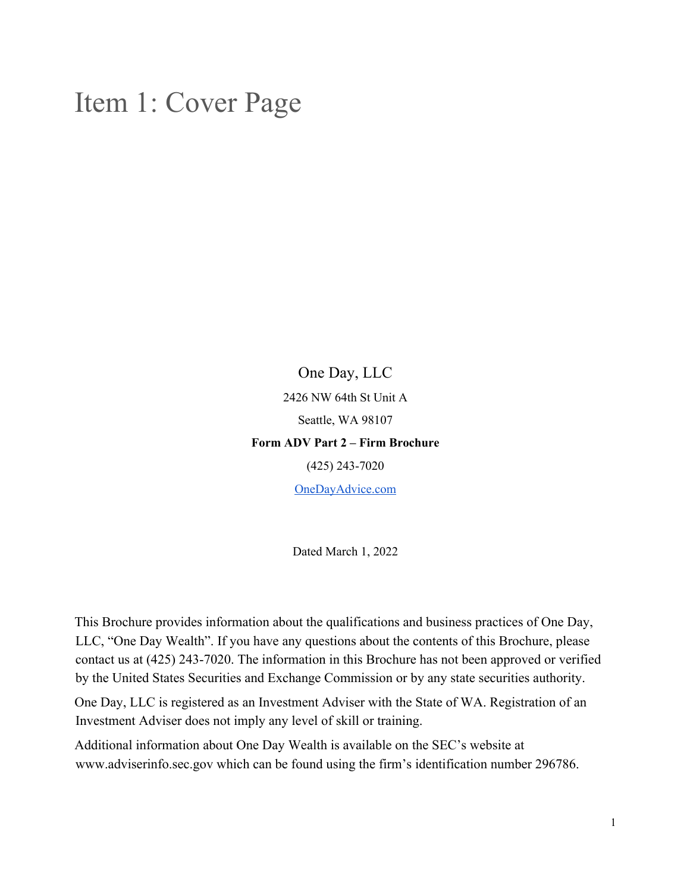## Item 1: Cover Page

One Day, LLC 2426 NW 64th St Unit A Seattle, WA 98107 **Form ADV Part 2 – Firm Brochure** (425) 243-7020

OneDayAdvice.com

Dated March 1, 2022

This Brochure provides information about the qualifications and business practices of One Day, LLC, "One Day Wealth". If you have any questions about the contents of this Brochure, please contact us at (425) 243-7020. The information in this Brochure has not been approved or verified by the United States Securities and Exchange Commission or by any state securities authority.

One Day, LLC is registered as an Investment Adviser with the State of WA. Registration of an Investment Adviser does not imply any level of skill or training.

Additional information about One Day Wealth is available on the SEC's website at www.adviserinfo.sec.gov which can be found using the firm's identification number 296786.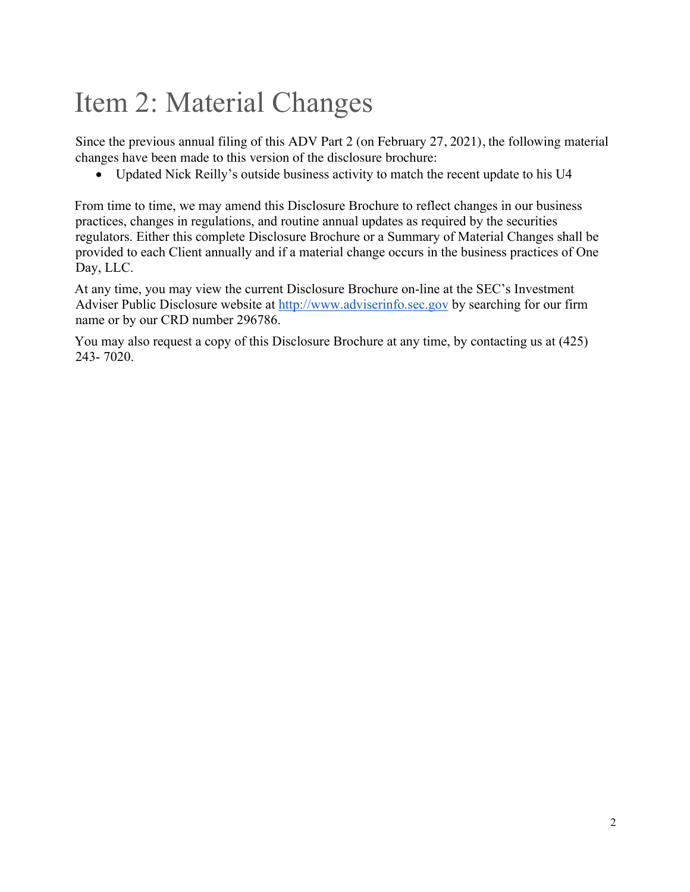## Item 2: Material Changes

Since the previous annual filing of this ADV Part 2 (on February 27, 2021), the following material changes have been made to this version of the disclosure brochure:

• Updated Nick Reilly's outside business activity to match the recent update to his U4

From time to time, we may amend this Disclosure Brochure to reflect changes in our business practices, changes in regulations, and routine annual updates as required by the securities regulators. Either this complete Disclosure Brochure or a Summary of Material Changes shall be provided to each Client annually and if a material change occurs in the business practices of One Day, LLC.

At any time, you may view the current Disclosure Brochure on-line at the SEC's Investment Adviser Public Disclosure website at http://www.adviserinfo.sec.gov by searching for our firm name or by our CRD number 296786.

You may also request a copy of this Disclosure Brochure at any time, by contacting us at (425) 243- 7020.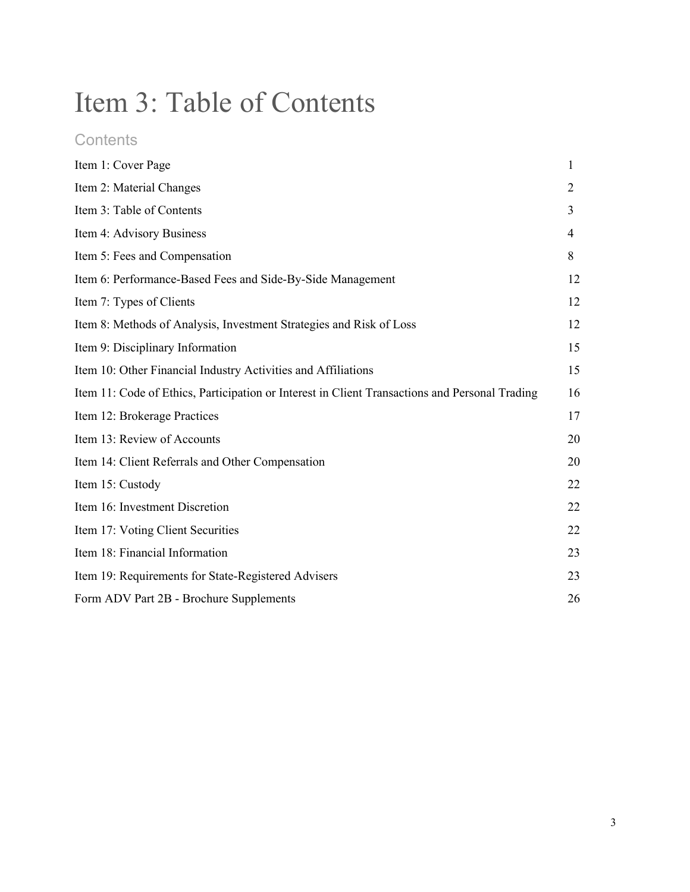# Item 3: Table of Contents

## **Contents**

| Item 1: Cover Page                                                                             | 1  |
|------------------------------------------------------------------------------------------------|----|
| Item 2: Material Changes                                                                       | 2  |
| Item 3: Table of Contents                                                                      | 3  |
| Item 4: Advisory Business                                                                      | 4  |
| Item 5: Fees and Compensation                                                                  | 8  |
| Item 6: Performance-Based Fees and Side-By-Side Management                                     | 12 |
| Item 7: Types of Clients                                                                       | 12 |
| Item 8: Methods of Analysis, Investment Strategies and Risk of Loss                            | 12 |
| Item 9: Disciplinary Information                                                               | 15 |
| Item 10: Other Financial Industry Activities and Affiliations                                  | 15 |
| Item 11: Code of Ethics, Participation or Interest in Client Transactions and Personal Trading | 16 |
| Item 12: Brokerage Practices                                                                   | 17 |
| Item 13: Review of Accounts                                                                    | 20 |
| Item 14: Client Referrals and Other Compensation                                               | 20 |
| Item 15: Custody                                                                               | 22 |
| Item 16: Investment Discretion                                                                 | 22 |
| Item 17: Voting Client Securities                                                              | 22 |
| Item 18: Financial Information                                                                 | 23 |
| Item 19: Requirements for State-Registered Advisers                                            | 23 |
| Form ADV Part 2B - Brochure Supplements                                                        | 26 |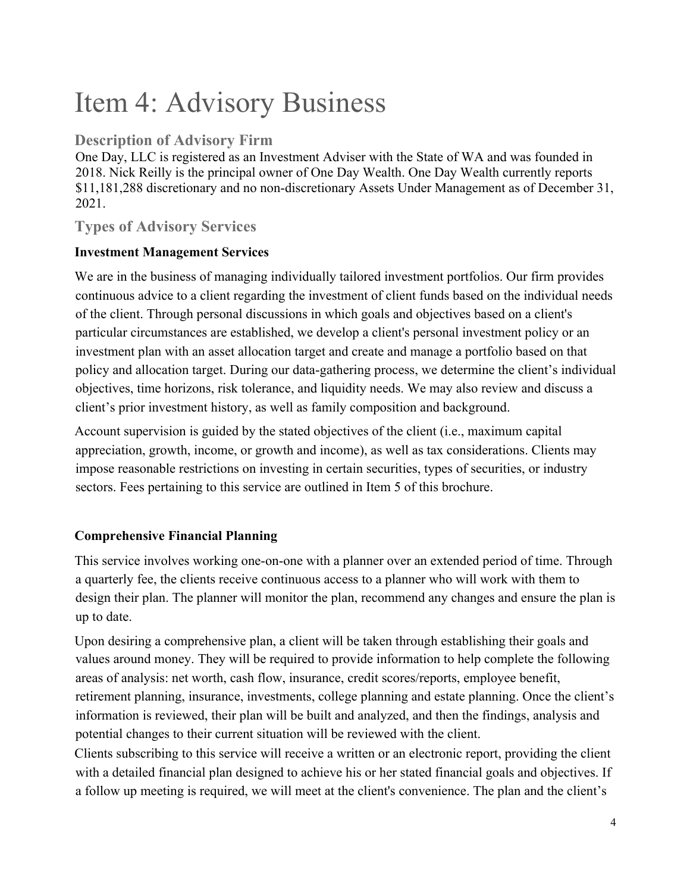## Item 4: Advisory Business

## **Description of Advisory Firm**

One Day, LLC is registered as an Investment Adviser with the State of WA and was founded in 2018. Nick Reilly is the principal owner of One Day Wealth. One Day Wealth currently reports \$11,181,288 discretionary and no non-discretionary Assets Under Management as of December 31, 2021.

## **Types of Advisory Services**

### **Investment Management Services**

We are in the business of managing individually tailored investment portfolios. Our firm provides continuous advice to a client regarding the investment of client funds based on the individual needs of the client. Through personal discussions in which goals and objectives based on a client's particular circumstances are established, we develop a client's personal investment policy or an investment plan with an asset allocation target and create and manage a portfolio based on that policy and allocation target. During our data-gathering process, we determine the client's individual objectives, time horizons, risk tolerance, and liquidity needs. We may also review and discuss a client's prior investment history, as well as family composition and background.

Account supervision is guided by the stated objectives of the client (i.e., maximum capital appreciation, growth, income, or growth and income), as well as tax considerations. Clients may impose reasonable restrictions on investing in certain securities, types of securities, or industry sectors. Fees pertaining to this service are outlined in Item 5 of this brochure.

## **Comprehensive Financial Planning**

This service involves working one-on-one with a planner over an extended period of time. Through a quarterly fee, the clients receive continuous access to a planner who will work with them to design their plan. The planner will monitor the plan, recommend any changes and ensure the plan is up to date.

Upon desiring a comprehensive plan, a client will be taken through establishing their goals and values around money. They will be required to provide information to help complete the following areas of analysis: net worth, cash flow, insurance, credit scores/reports, employee benefit, retirement planning, insurance, investments, college planning and estate planning. Once the client's information is reviewed, their plan will be built and analyzed, and then the findings, analysis and potential changes to their current situation will be reviewed with the client.

Clients subscribing to this service will receive a written or an electronic report, providing the client with a detailed financial plan designed to achieve his or her stated financial goals and objectives. If a follow up meeting is required, we will meet at the client's convenience. The plan and the client's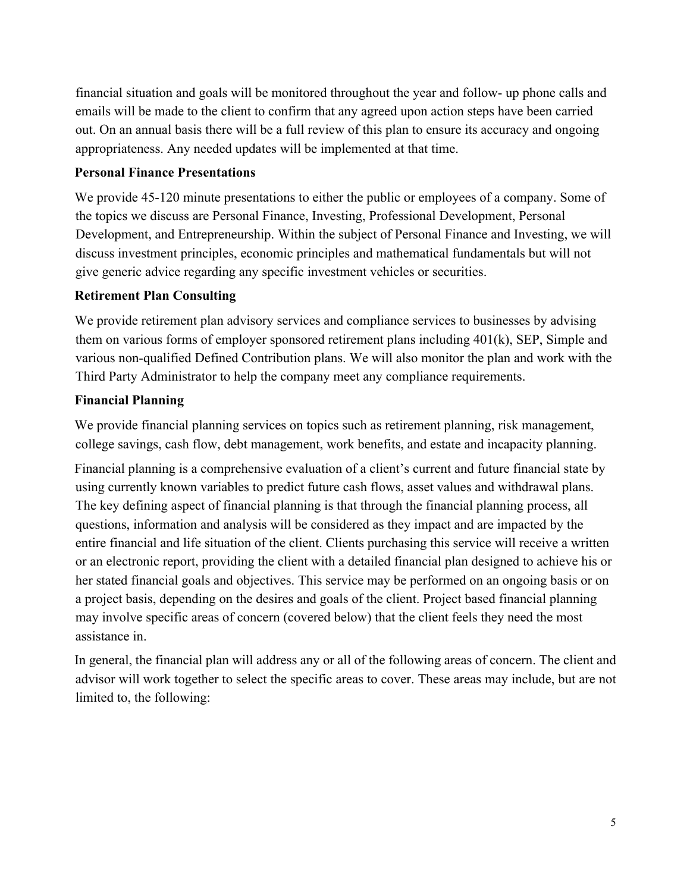financial situation and goals will be monitored throughout the year and follow- up phone calls and emails will be made to the client to confirm that any agreed upon action steps have been carried out. On an annual basis there will be a full review of this plan to ensure its accuracy and ongoing appropriateness. Any needed updates will be implemented at that time.

#### **Personal Finance Presentations**

We provide 45-120 minute presentations to either the public or employees of a company. Some of the topics we discuss are Personal Finance, Investing, Professional Development, Personal Development, and Entrepreneurship. Within the subject of Personal Finance and Investing, we will discuss investment principles, economic principles and mathematical fundamentals but will not give generic advice regarding any specific investment vehicles or securities.

#### **Retirement Plan Consulting**

We provide retirement plan advisory services and compliance services to businesses by advising them on various forms of employer sponsored retirement plans including 401(k), SEP, Simple and various non-qualified Defined Contribution plans. We will also monitor the plan and work with the Third Party Administrator to help the company meet any compliance requirements.

#### **Financial Planning**

We provide financial planning services on topics such as retirement planning, risk management, college savings, cash flow, debt management, work benefits, and estate and incapacity planning.

Financial planning is a comprehensive evaluation of a client's current and future financial state by using currently known variables to predict future cash flows, asset values and withdrawal plans. The key defining aspect of financial planning is that through the financial planning process, all questions, information and analysis will be considered as they impact and are impacted by the entire financial and life situation of the client. Clients purchasing this service will receive a written or an electronic report, providing the client with a detailed financial plan designed to achieve his or her stated financial goals and objectives. This service may be performed on an ongoing basis or on a project basis, depending on the desires and goals of the client. Project based financial planning may involve specific areas of concern (covered below) that the client feels they need the most assistance in.

In general, the financial plan will address any or all of the following areas of concern. The client and advisor will work together to select the specific areas to cover. These areas may include, but are not limited to, the following: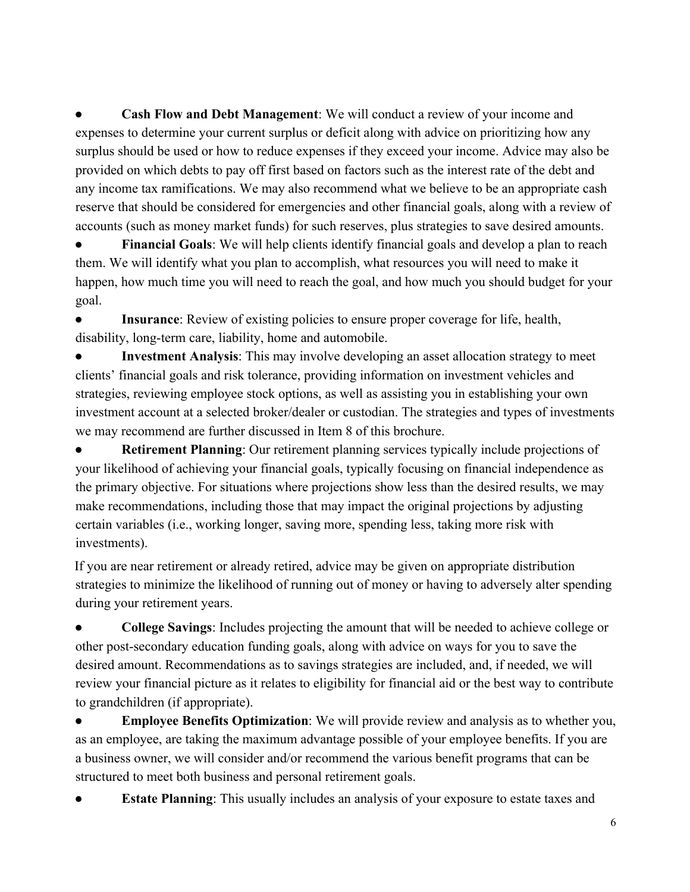**Cash Flow and Debt Management:** We will conduct a review of your income and expenses to determine your current surplus or deficit along with advice on prioritizing how any surplus should be used or how to reduce expenses if they exceed your income. Advice may also be provided on which debts to pay off first based on factors such as the interest rate of the debt and any income tax ramifications. We may also recommend what we believe to be an appropriate cash reserve that should be considered for emergencies and other financial goals, along with a review of accounts (such as money market funds) for such reserves, plus strategies to save desired amounts.

**Financial Goals**: We will help clients identify financial goals and develop a plan to reach them. We will identify what you plan to accomplish, what resources you will need to make it happen, how much time you will need to reach the goal, and how much you should budget for your goal.

● **Insurance**: Review of existing policies to ensure proper coverage for life, health, disability, long-term care, liability, home and automobile.

**Investment Analysis**: This may involve developing an asset allocation strategy to meet clients' financial goals and risk tolerance, providing information on investment vehicles and strategies, reviewing employee stock options, as well as assisting you in establishing your own investment account at a selected broker/dealer or custodian. The strategies and types of investments we may recommend are further discussed in Item 8 of this brochure.

**Retirement Planning:** Our retirement planning services typically include projections of your likelihood of achieving your financial goals, typically focusing on financial independence as the primary objective. For situations where projections show less than the desired results, we may make recommendations, including those that may impact the original projections by adjusting certain variables (i.e., working longer, saving more, spending less, taking more risk with investments).

If you are near retirement or already retired, advice may be given on appropriate distribution strategies to minimize the likelihood of running out of money or having to adversely alter spending during your retirement years.

● **College Savings**: Includes projecting the amount that will be needed to achieve college or other post-secondary education funding goals, along with advice on ways for you to save the desired amount. Recommendations as to savings strategies are included, and, if needed, we will review your financial picture as it relates to eligibility for financial aid or the best way to contribute to grandchildren (if appropriate).

**Employee Benefits Optimization**: We will provide review and analysis as to whether you, as an employee, are taking the maximum advantage possible of your employee benefits. If you are a business owner, we will consider and/or recommend the various benefit programs that can be structured to meet both business and personal retirement goals.

**Estate Planning**: This usually includes an analysis of your exposure to estate taxes and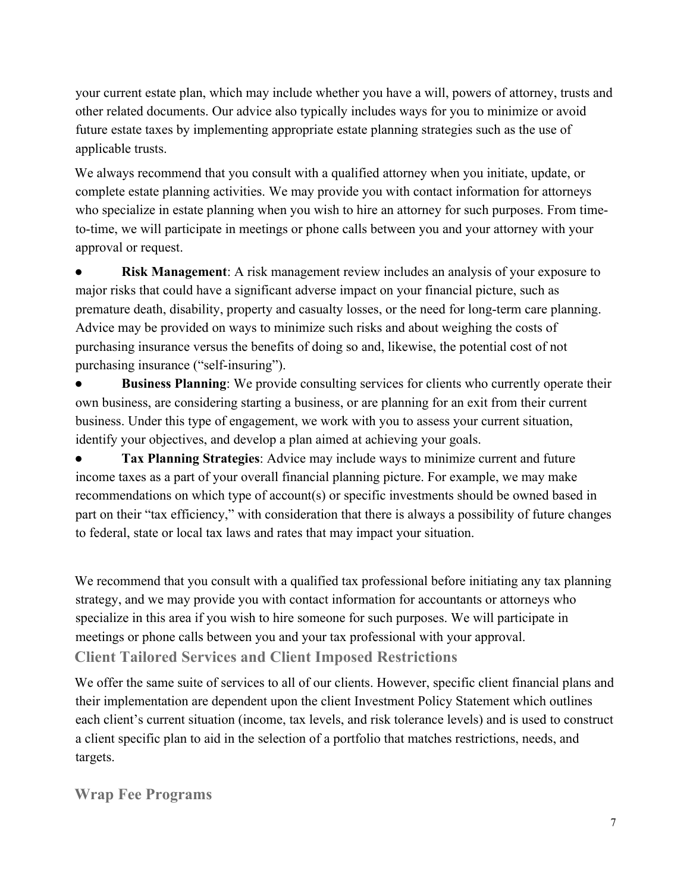your current estate plan, which may include whether you have a will, powers of attorney, trusts and other related documents. Our advice also typically includes ways for you to minimize or avoid future estate taxes by implementing appropriate estate planning strategies such as the use of applicable trusts.

We always recommend that you consult with a qualified attorney when you initiate, update, or complete estate planning activities. We may provide you with contact information for attorneys who specialize in estate planning when you wish to hire an attorney for such purposes. From timeto-time, we will participate in meetings or phone calls between you and your attorney with your approval or request.

**Risk Management:** A risk management review includes an analysis of your exposure to major risks that could have a significant adverse impact on your financial picture, such as premature death, disability, property and casualty losses, or the need for long-term care planning. Advice may be provided on ways to minimize such risks and about weighing the costs of purchasing insurance versus the benefits of doing so and, likewise, the potential cost of not purchasing insurance ("self-insuring").

**Business Planning**: We provide consulting services for clients who currently operate their own business, are considering starting a business, or are planning for an exit from their current business. Under this type of engagement, we work with you to assess your current situation, identify your objectives, and develop a plan aimed at achieving your goals.

Tax Planning Strategies: Advice may include ways to minimize current and future income taxes as a part of your overall financial planning picture. For example, we may make recommendations on which type of account(s) or specific investments should be owned based in part on their "tax efficiency," with consideration that there is always a possibility of future changes to federal, state or local tax laws and rates that may impact your situation.

We recommend that you consult with a qualified tax professional before initiating any tax planning strategy, and we may provide you with contact information for accountants or attorneys who specialize in this area if you wish to hire someone for such purposes. We will participate in meetings or phone calls between you and your tax professional with your approval. **Client Tailored Services and Client Imposed Restrictions**

We offer the same suite of services to all of our clients. However, specific client financial plans and their implementation are dependent upon the client Investment Policy Statement which outlines each client's current situation (income, tax levels, and risk tolerance levels) and is used to construct a client specific plan to aid in the selection of a portfolio that matches restrictions, needs, and targets.

## **Wrap Fee Programs**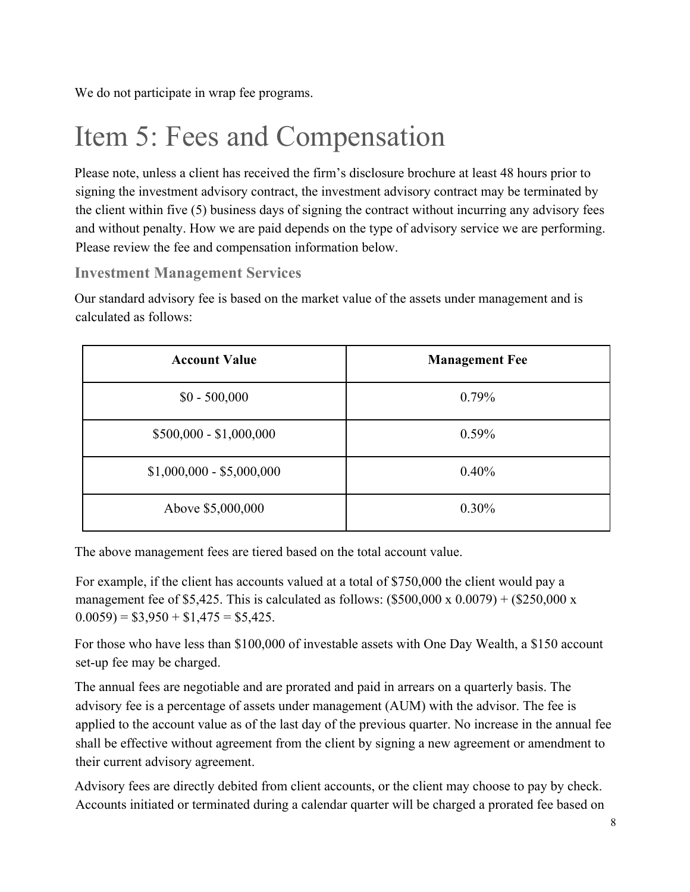We do not participate in wrap fee programs.

# Item 5: Fees and Compensation

Please note, unless a client has received the firm's disclosure brochure at least 48 hours prior to signing the investment advisory contract, the investment advisory contract may be terminated by the client within five (5) business days of signing the contract without incurring any advisory fees and without penalty. How we are paid depends on the type of advisory service we are performing. Please review the fee and compensation information below.

## **Investment Management Services**

Our standard advisory fee is based on the market value of the assets under management and is calculated as follows:

| <b>Account Value</b>      | <b>Management Fee</b> |
|---------------------------|-----------------------|
| $$0 - 500,000$            | 0.79%                 |
| $$500,000 - $1,000,000$   | 0.59%                 |
| $$1,000,000 - $5,000,000$ | 0.40%                 |
| Above \$5,000,000         | $0.30\%$              |

The above management fees are tiered based on the total account value.

For example, if the client has accounts valued at a total of \$750,000 the client would pay a management fee of \$5,425. This is calculated as follows:  $(\$500,000 \times 0.0079) + (\$250,000 \times$  $(0.0059) = $3,950 + $1,475 = $5,425.$ 

For those who have less than \$100,000 of investable assets with One Day Wealth, a \$150 account set-up fee may be charged.

The annual fees are negotiable and are prorated and paid in arrears on a quarterly basis. The advisory fee is a percentage of assets under management (AUM) with the advisor. The fee is applied to the account value as of the last day of the previous quarter. No increase in the annual fee shall be effective without agreement from the client by signing a new agreement or amendment to their current advisory agreement.

Advisory fees are directly debited from client accounts, or the client may choose to pay by check. Accounts initiated or terminated during a calendar quarter will be charged a prorated fee based on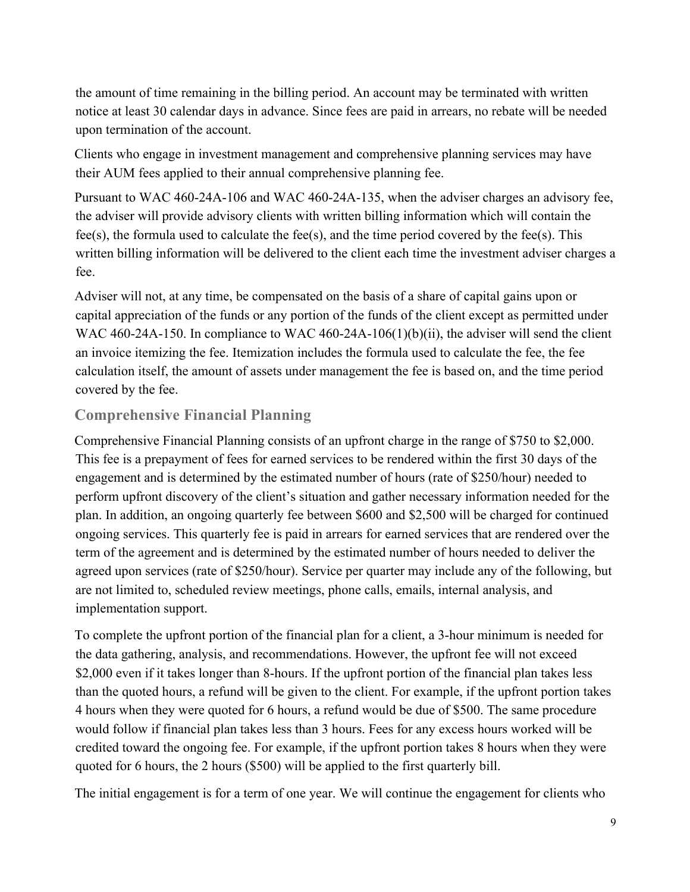the amount of time remaining in the billing period. An account may be terminated with written notice at least 30 calendar days in advance. Since fees are paid in arrears, no rebate will be needed upon termination of the account.

Clients who engage in investment management and comprehensive planning services may have their AUM fees applied to their annual comprehensive planning fee.

Pursuant to WAC 460-24A-106 and WAC 460-24A-135, when the adviser charges an advisory fee, the adviser will provide advisory clients with written billing information which will contain the fee(s), the formula used to calculate the fee(s), and the time period covered by the fee(s). This written billing information will be delivered to the client each time the investment adviser charges a fee.

Adviser will not, at any time, be compensated on the basis of a share of capital gains upon or capital appreciation of the funds or any portion of the funds of the client except as permitted under WAC 460-24A-150. In compliance to WAC 460-24A-106(1)(b)(ii), the adviser will send the client an invoice itemizing the fee. Itemization includes the formula used to calculate the fee, the fee calculation itself, the amount of assets under management the fee is based on, and the time period covered by the fee.

### **Comprehensive Financial Planning**

Comprehensive Financial Planning consists of an upfront charge in the range of \$750 to \$2,000. This fee is a prepayment of fees for earned services to be rendered within the first 30 days of the engagement and is determined by the estimated number of hours (rate of \$250/hour) needed to perform upfront discovery of the client's situation and gather necessary information needed for the plan. In addition, an ongoing quarterly fee between \$600 and \$2,500 will be charged for continued ongoing services. This quarterly fee is paid in arrears for earned services that are rendered over the term of the agreement and is determined by the estimated number of hours needed to deliver the agreed upon services (rate of \$250/hour). Service per quarter may include any of the following, but are not limited to, scheduled review meetings, phone calls, emails, internal analysis, and implementation support.

To complete the upfront portion of the financial plan for a client, a 3-hour minimum is needed for the data gathering, analysis, and recommendations. However, the upfront fee will not exceed \$2,000 even if it takes longer than 8-hours. If the upfront portion of the financial plan takes less than the quoted hours, a refund will be given to the client. For example, if the upfront portion takes 4 hours when they were quoted for 6 hours, a refund would be due of \$500. The same procedure would follow if financial plan takes less than 3 hours. Fees for any excess hours worked will be credited toward the ongoing fee. For example, if the upfront portion takes 8 hours when they were quoted for 6 hours, the 2 hours (\$500) will be applied to the first quarterly bill.

The initial engagement is for a term of one year. We will continue the engagement for clients who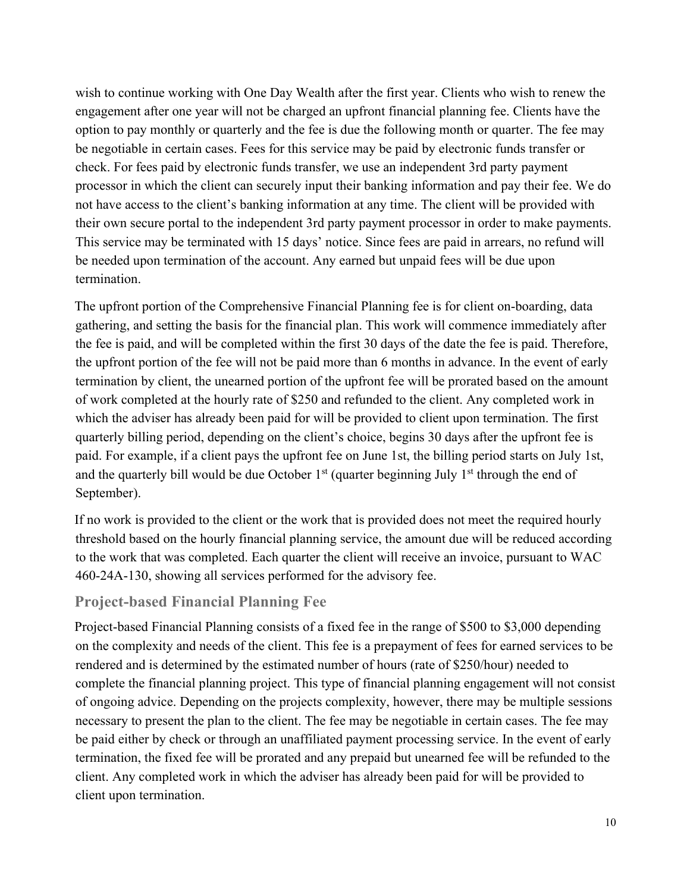wish to continue working with One Day Wealth after the first year. Clients who wish to renew the engagement after one year will not be charged an upfront financial planning fee. Clients have the option to pay monthly or quarterly and the fee is due the following month or quarter. The fee may be negotiable in certain cases. Fees for this service may be paid by electronic funds transfer or check. For fees paid by electronic funds transfer, we use an independent 3rd party payment processor in which the client can securely input their banking information and pay their fee. We do not have access to the client's banking information at any time. The client will be provided with their own secure portal to the independent 3rd party payment processor in order to make payments. This service may be terminated with 15 days' notice. Since fees are paid in arrears, no refund will be needed upon termination of the account. Any earned but unpaid fees will be due upon termination.

The upfront portion of the Comprehensive Financial Planning fee is for client on-boarding, data gathering, and setting the basis for the financial plan. This work will commence immediately after the fee is paid, and will be completed within the first 30 days of the date the fee is paid. Therefore, the upfront portion of the fee will not be paid more than 6 months in advance. In the event of early termination by client, the unearned portion of the upfront fee will be prorated based on the amount of work completed at the hourly rate of \$250 and refunded to the client. Any completed work in which the adviser has already been paid for will be provided to client upon termination. The first quarterly billing period, depending on the client's choice, begins 30 days after the upfront fee is paid. For example, if a client pays the upfront fee on June 1st, the billing period starts on July 1st, and the quarterly bill would be due October  $1<sup>st</sup>$  (quarter beginning July  $1<sup>st</sup>$  through the end of September).

If no work is provided to the client or the work that is provided does not meet the required hourly threshold based on the hourly financial planning service, the amount due will be reduced according to the work that was completed. Each quarter the client will receive an invoice, pursuant to WAC 460-24A-130, showing all services performed for the advisory fee.

#### **Project-based Financial Planning Fee**

Project-based Financial Planning consists of a fixed fee in the range of \$500 to \$3,000 depending on the complexity and needs of the client. This fee is a prepayment of fees for earned services to be rendered and is determined by the estimated number of hours (rate of \$250/hour) needed to complete the financial planning project. This type of financial planning engagement will not consist of ongoing advice. Depending on the projects complexity, however, there may be multiple sessions necessary to present the plan to the client. The fee may be negotiable in certain cases. The fee may be paid either by check or through an unaffiliated payment processing service. In the event of early termination, the fixed fee will be prorated and any prepaid but unearned fee will be refunded to the client. Any completed work in which the adviser has already been paid for will be provided to client upon termination.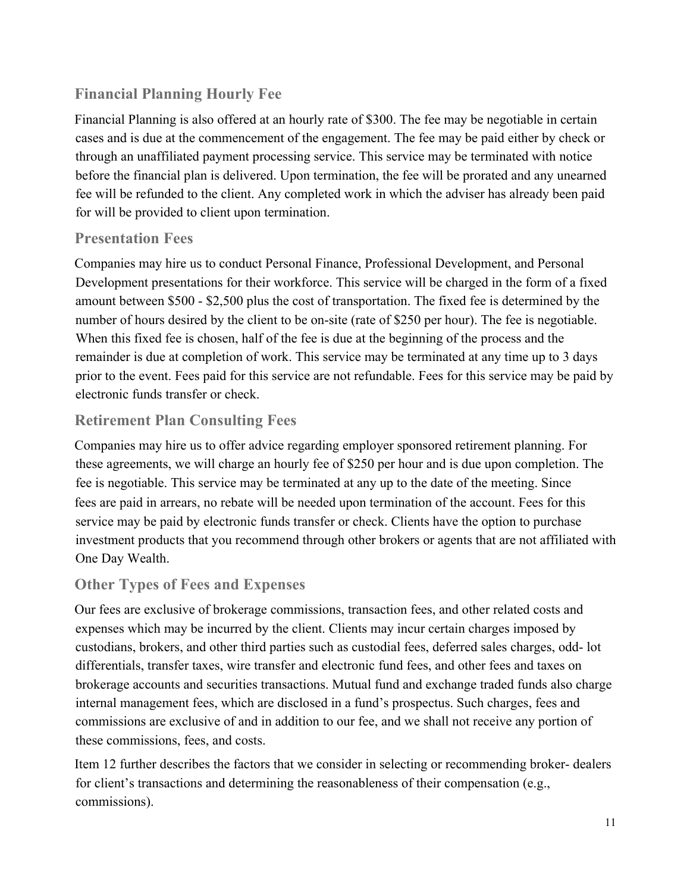## **Financial Planning Hourly Fee**

Financial Planning is also offered at an hourly rate of \$300. The fee may be negotiable in certain cases and is due at the commencement of the engagement. The fee may be paid either by check or through an unaffiliated payment processing service. This service may be terminated with notice before the financial plan is delivered. Upon termination, the fee will be prorated and any unearned fee will be refunded to the client. Any completed work in which the adviser has already been paid for will be provided to client upon termination.

### **Presentation Fees**

Companies may hire us to conduct Personal Finance, Professional Development, and Personal Development presentations for their workforce. This service will be charged in the form of a fixed amount between \$500 - \$2,500 plus the cost of transportation. The fixed fee is determined by the number of hours desired by the client to be on-site (rate of \$250 per hour). The fee is negotiable. When this fixed fee is chosen, half of the fee is due at the beginning of the process and the remainder is due at completion of work. This service may be terminated at any time up to 3 days prior to the event. Fees paid for this service are not refundable. Fees for this service may be paid by electronic funds transfer or check.

## **Retirement Plan Consulting Fees**

Companies may hire us to offer advice regarding employer sponsored retirement planning. For these agreements, we will charge an hourly fee of \$250 per hour and is due upon completion. The fee is negotiable. This service may be terminated at any up to the date of the meeting. Since fees are paid in arrears, no rebate will be needed upon termination of the account. Fees for this service may be paid by electronic funds transfer or check. Clients have the option to purchase investment products that you recommend through other brokers or agents that are not affiliated with One Day Wealth.

## **Other Types of Fees and Expenses**

Our fees are exclusive of brokerage commissions, transaction fees, and other related costs and expenses which may be incurred by the client. Clients may incur certain charges imposed by custodians, brokers, and other third parties such as custodial fees, deferred sales charges, odd- lot differentials, transfer taxes, wire transfer and electronic fund fees, and other fees and taxes on brokerage accounts and securities transactions. Mutual fund and exchange traded funds also charge internal management fees, which are disclosed in a fund's prospectus. Such charges, fees and commissions are exclusive of and in addition to our fee, and we shall not receive any portion of these commissions, fees, and costs.

Item 12 further describes the factors that we consider in selecting or recommending broker- dealers for client's transactions and determining the reasonableness of their compensation (e.g., commissions).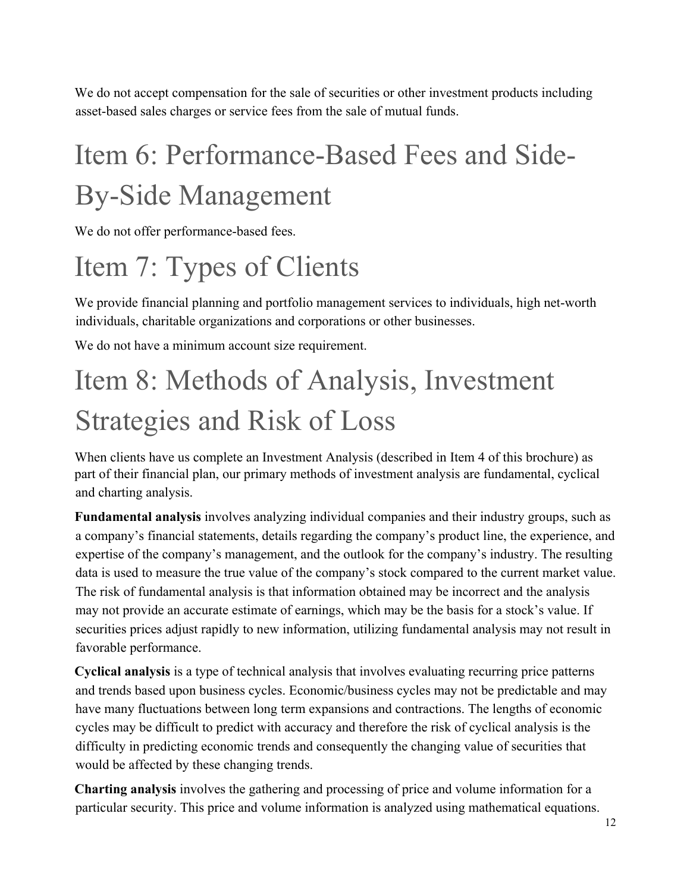We do not accept compensation for the sale of securities or other investment products including asset-based sales charges or service fees from the sale of mutual funds.

# Item 6: Performance-Based Fees and Side-By-Side Management

We do not offer performance-based fees.

# Item 7: Types of Clients

We provide financial planning and portfolio management services to individuals, high net-worth individuals, charitable organizations and corporations or other businesses.

We do not have a minimum account size requirement.

# Item 8: Methods of Analysis, Investment Strategies and Risk of Loss

When clients have us complete an Investment Analysis (described in Item 4 of this brochure) as part of their financial plan, our primary methods of investment analysis are fundamental, cyclical and charting analysis.

**Fundamental analysis** involves analyzing individual companies and their industry groups, such as a company's financial statements, details regarding the company's product line, the experience, and expertise of the company's management, and the outlook for the company's industry. The resulting data is used to measure the true value of the company's stock compared to the current market value. The risk of fundamental analysis is that information obtained may be incorrect and the analysis may not provide an accurate estimate of earnings, which may be the basis for a stock's value. If securities prices adjust rapidly to new information, utilizing fundamental analysis may not result in favorable performance.

**Cyclical analysis** is a type of technical analysis that involves evaluating recurring price patterns and trends based upon business cycles. Economic/business cycles may not be predictable and may have many fluctuations between long term expansions and contractions. The lengths of economic cycles may be difficult to predict with accuracy and therefore the risk of cyclical analysis is the difficulty in predicting economic trends and consequently the changing value of securities that would be affected by these changing trends.

**Charting analysis** involves the gathering and processing of price and volume information for a particular security. This price and volume information is analyzed using mathematical equations.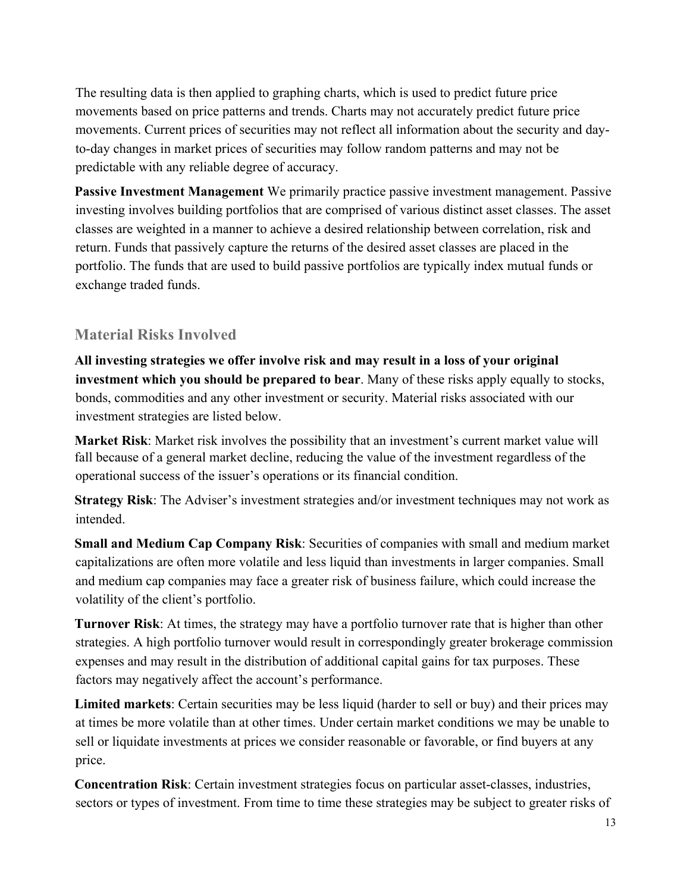The resulting data is then applied to graphing charts, which is used to predict future price movements based on price patterns and trends. Charts may not accurately predict future price movements. Current prices of securities may not reflect all information about the security and dayto-day changes in market prices of securities may follow random patterns and may not be predictable with any reliable degree of accuracy.

**Passive Investment Management** We primarily practice passive investment management. Passive investing involves building portfolios that are comprised of various distinct asset classes. The asset classes are weighted in a manner to achieve a desired relationship between correlation, risk and return. Funds that passively capture the returns of the desired asset classes are placed in the portfolio. The funds that are used to build passive portfolios are typically index mutual funds or exchange traded funds.

#### **Material Risks Involved**

**All investing strategies we offer involve risk and may result in a loss of your original investment which you should be prepared to bear**. Many of these risks apply equally to stocks, bonds, commodities and any other investment or security. Material risks associated with our investment strategies are listed below.

**Market Risk**: Market risk involves the possibility that an investment's current market value will fall because of a general market decline, reducing the value of the investment regardless of the operational success of the issuer's operations or its financial condition.

**Strategy Risk**: The Adviser's investment strategies and/or investment techniques may not work as intended.

**Small and Medium Cap Company Risk**: Securities of companies with small and medium market capitalizations are often more volatile and less liquid than investments in larger companies. Small and medium cap companies may face a greater risk of business failure, which could increase the volatility of the client's portfolio.

**Turnover Risk**: At times, the strategy may have a portfolio turnover rate that is higher than other strategies. A high portfolio turnover would result in correspondingly greater brokerage commission expenses and may result in the distribution of additional capital gains for tax purposes. These factors may negatively affect the account's performance.

**Limited markets**: Certain securities may be less liquid (harder to sell or buy) and their prices may at times be more volatile than at other times. Under certain market conditions we may be unable to sell or liquidate investments at prices we consider reasonable or favorable, or find buyers at any price.

**Concentration Risk**: Certain investment strategies focus on particular asset-classes, industries, sectors or types of investment. From time to time these strategies may be subject to greater risks of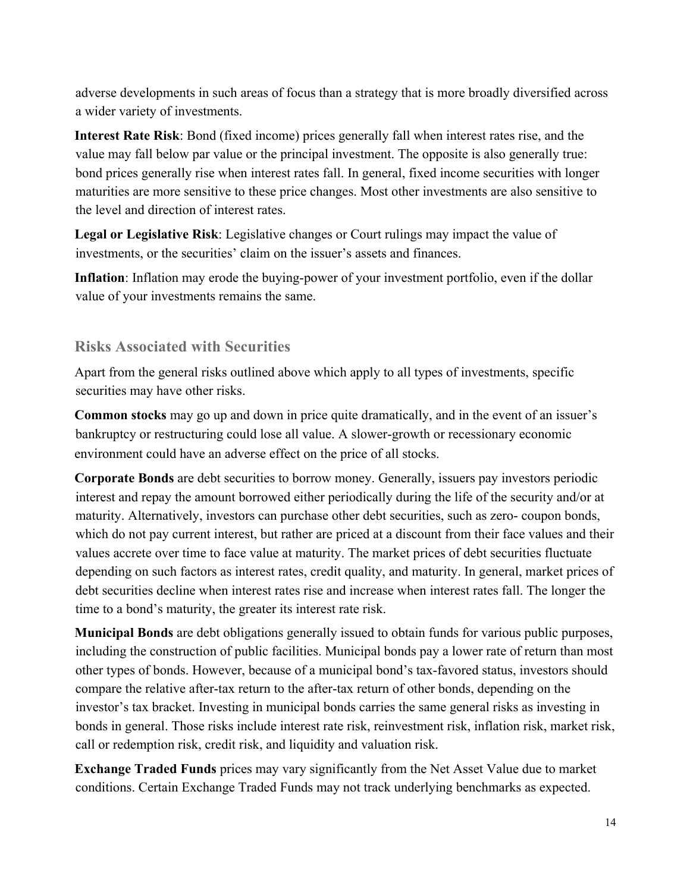adverse developments in such areas of focus than a strategy that is more broadly diversified across a wider variety of investments.

**Interest Rate Risk**: Bond (fixed income) prices generally fall when interest rates rise, and the value may fall below par value or the principal investment. The opposite is also generally true: bond prices generally rise when interest rates fall. In general, fixed income securities with longer maturities are more sensitive to these price changes. Most other investments are also sensitive to the level and direction of interest rates.

**Legal or Legislative Risk**: Legislative changes or Court rulings may impact the value of investments, or the securities' claim on the issuer's assets and finances.

**Inflation**: Inflation may erode the buying-power of your investment portfolio, even if the dollar value of your investments remains the same.

#### **Risks Associated with Securities**

Apart from the general risks outlined above which apply to all types of investments, specific securities may have other risks.

**Common stocks** may go up and down in price quite dramatically, and in the event of an issuer's bankruptcy or restructuring could lose all value. A slower-growth or recessionary economic environment could have an adverse effect on the price of all stocks.

**Corporate Bonds** are debt securities to borrow money. Generally, issuers pay investors periodic interest and repay the amount borrowed either periodically during the life of the security and/or at maturity. Alternatively, investors can purchase other debt securities, such as zero- coupon bonds, which do not pay current interest, but rather are priced at a discount from their face values and their values accrete over time to face value at maturity. The market prices of debt securities fluctuate depending on such factors as interest rates, credit quality, and maturity. In general, market prices of debt securities decline when interest rates rise and increase when interest rates fall. The longer the time to a bond's maturity, the greater its interest rate risk.

**Municipal Bonds** are debt obligations generally issued to obtain funds for various public purposes, including the construction of public facilities. Municipal bonds pay a lower rate of return than most other types of bonds. However, because of a municipal bond's tax-favored status, investors should compare the relative after-tax return to the after-tax return of other bonds, depending on the investor's tax bracket. Investing in municipal bonds carries the same general risks as investing in bonds in general. Those risks include interest rate risk, reinvestment risk, inflation risk, market risk, call or redemption risk, credit risk, and liquidity and valuation risk.

**Exchange Traded Funds** prices may vary significantly from the Net Asset Value due to market conditions. Certain Exchange Traded Funds may not track underlying benchmarks as expected.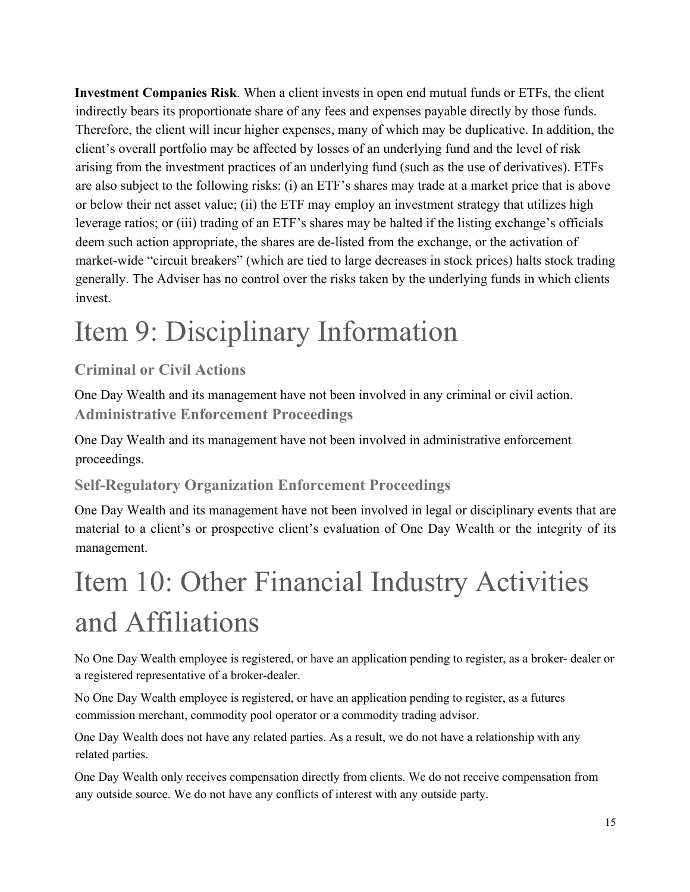**Investment Companies Risk**. When a client invests in open end mutual funds or ETFs, the client indirectly bears its proportionate share of any fees and expenses payable directly by those funds. Therefore, the client will incur higher expenses, many of which may be duplicative. In addition, the client's overall portfolio may be affected by losses of an underlying fund and the level of risk arising from the investment practices of an underlying fund (such as the use of derivatives). ETFs are also subject to the following risks: (i) an ETF's shares may trade at a market price that is above or below their net asset value; (ii) the ETF may employ an investment strategy that utilizes high leverage ratios; or (iii) trading of an ETF's shares may be halted if the listing exchange's officials deem such action appropriate, the shares are de-listed from the exchange, or the activation of market-wide "circuit breakers" (which are tied to large decreases in stock prices) halts stock trading generally. The Adviser has no control over the risks taken by the underlying funds in which clients invest.

# Item 9: Disciplinary Information

## **Criminal or Civil Actions**

One Day Wealth and its management have not been involved in any criminal or civil action. **Administrative Enforcement Proceedings**

One Day Wealth and its management have not been involved in administrative enforcement proceedings.

## **Self-Regulatory Organization Enforcement Proceedings**

One Day Wealth and its management have not been involved in legal or disciplinary events that are material to a client's or prospective client's evaluation of One Day Wealth or the integrity of its management.

# Item 10: Other Financial Industry Activities and Affiliations

No One Day Wealth employee is registered, or have an application pending to register, as a broker- dealer or a registered representative of a broker-dealer.

No One Day Wealth employee is registered, or have an application pending to register, as a futures commission merchant, commodity pool operator or a commodity trading advisor.

One Day Wealth does not have any related parties. As a result, we do not have a relationship with any related parties.

One Day Wealth only receives compensation directly from clients. We do not receive compensation from any outside source. We do not have any conflicts of interest with any outside party.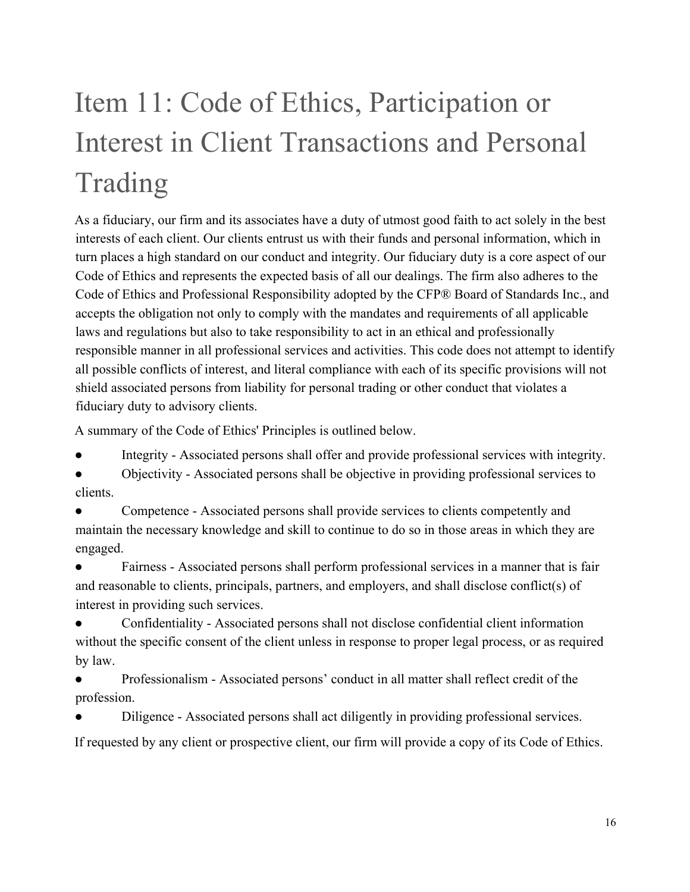# Item 11: Code of Ethics, Participation or Interest in Client Transactions and Personal Trading

As a fiduciary, our firm and its associates have a duty of utmost good faith to act solely in the best interests of each client. Our clients entrust us with their funds and personal information, which in turn places a high standard on our conduct and integrity. Our fiduciary duty is a core aspect of our Code of Ethics and represents the expected basis of all our dealings. The firm also adheres to the Code of Ethics and Professional Responsibility adopted by the CFP® Board of Standards Inc., and accepts the obligation not only to comply with the mandates and requirements of all applicable laws and regulations but also to take responsibility to act in an ethical and professionally responsible manner in all professional services and activities. This code does not attempt to identify all possible conflicts of interest, and literal compliance with each of its specific provisions will not shield associated persons from liability for personal trading or other conduct that violates a fiduciary duty to advisory clients.

A summary of the Code of Ethics' Principles is outlined below.

Integrity - Associated persons shall offer and provide professional services with integrity.

● Objectivity - Associated persons shall be objective in providing professional services to clients.

Competence - Associated persons shall provide services to clients competently and maintain the necessary knowledge and skill to continue to do so in those areas in which they are engaged.

Fairness - Associated persons shall perform professional services in a manner that is fair and reasonable to clients, principals, partners, and employers, and shall disclose conflict(s) of interest in providing such services.

Confidentiality - Associated persons shall not disclose confidential client information without the specific consent of the client unless in response to proper legal process, or as required by law.

● Professionalism - Associated persons' conduct in all matter shall reflect credit of the profession.

Diligence - Associated persons shall act diligently in providing professional services.

If requested by any client or prospective client, our firm will provide a copy of its Code of Ethics.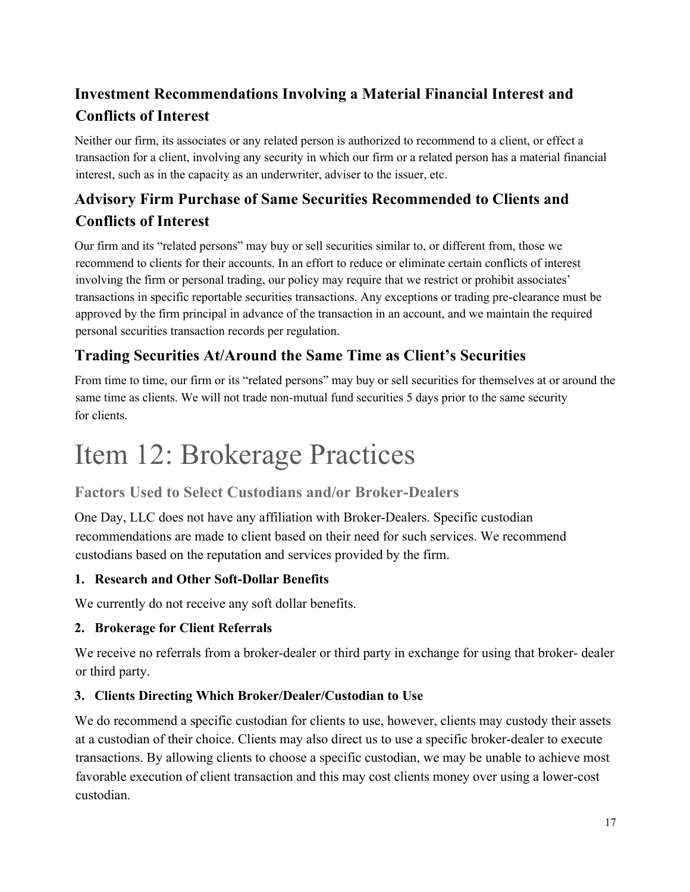## **Investment Recommendations Involving a Material Financial Interest and Conflicts of Interest**

Neither our firm, its associates or any related person is authorized to recommend to a client, or effect a transaction for a client, involving any security in which our firm or a related person has a material financial interest, such as in the capacity as an underwriter, adviser to the issuer, etc.

## **Advisory Firm Purchase of Same Securities Recommended to Clients and Conflicts of Interest**

Our firm and its "related persons" may buy or sell securities similar to, or different from, those we recommend to clients for their accounts. In an effort to reduce or eliminate certain conflicts of interest involving the firm or personal trading, our policy may require that we restrict or prohibit associates' transactions in specific reportable securities transactions. Any exceptions or trading pre-clearance must be approved by the firm principal in advance of the transaction in an account, and we maintain the required personal securities transaction records per regulation.

## **Trading Securities At/Around the Same Time as Client's Securities**

From time to time, our firm or its "related persons" may buy or sell securities for themselves at or around the same time as clients. We will not trade non-mutual fund securities 5 days prior to the same security for clients.

## Item 12: Brokerage Practices

## **Factors Used to Select Custodians and/or Broker-Dealers**

One Day, LLC does not have any affiliation with Broker-Dealers. Specific custodian recommendations are made to client based on their need for such services. We recommend custodians based on the reputation and services provided by the firm.

### **1. Research and Other Soft-Dollar Benefits**

We currently do not receive any soft dollar benefits.

### **2. Brokerage for Client Referrals**

We receive no referrals from a broker-dealer or third party in exchange for using that broker- dealer or third party.

### **3. Clients Directing Which Broker/Dealer/Custodian to Use**

We do recommend a specific custodian for clients to use, however, clients may custody their assets at a custodian of their choice. Clients may also direct us to use a specific broker-dealer to execute transactions. By allowing clients to choose a specific custodian, we may be unable to achieve most favorable execution of client transaction and this may cost clients money over using a lower-cost custodian.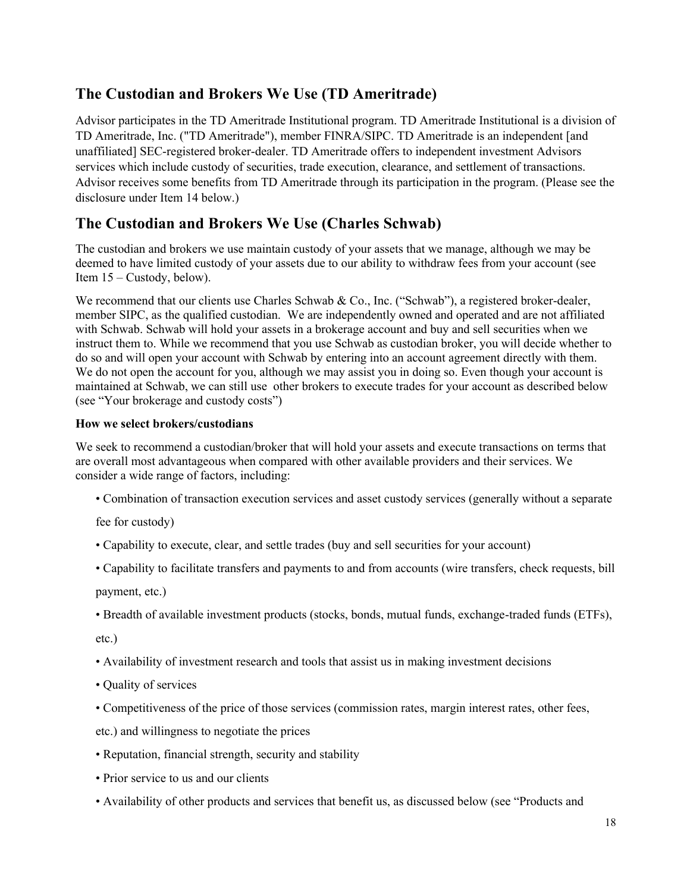## **The Custodian and Brokers We Use (TD Ameritrade)**

Advisor participates in the TD Ameritrade Institutional program. TD Ameritrade Institutional is a division of TD Ameritrade, Inc. ("TD Ameritrade"), member FINRA/SIPC. TD Ameritrade is an independent [and unaffiliated] SEC-registered broker-dealer. TD Ameritrade offers to independent investment Advisors services which include custody of securities, trade execution, clearance, and settlement of transactions. Advisor receives some benefits from TD Ameritrade through its participation in the program. (Please see the disclosure under Item 14 below.)

## **The Custodian and Brokers We Use (Charles Schwab)**

The custodian and brokers we use maintain custody of your assets that we manage, although we may be deemed to have limited custody of your assets due to our ability to withdraw fees from your account (see Item 15 – Custody, below).

We recommend that our clients use Charles Schwab & Co., Inc. ("Schwab"), a registered broker-dealer, member SIPC, as the qualified custodian. We are independently owned and operated and are not affiliated with Schwab. Schwab will hold your assets in a brokerage account and buy and sell securities when we instruct them to. While we recommend that you use Schwab as custodian broker, you will decide whether to do so and will open your account with Schwab by entering into an account agreement directly with them. We do not open the account for you, although we may assist you in doing so. Even though your account is maintained at Schwab, we can still use other brokers to execute trades for your account as described below (see "Your brokerage and custody costs")

#### **How we select brokers/custodians**

We seek to recommend a custodian/broker that will hold your assets and execute transactions on terms that are overall most advantageous when compared with other available providers and their services. We consider a wide range of factors, including:

• Combination of transaction execution services and asset custody services (generally without a separate

fee for custody)

- Capability to execute, clear, and settle trades (buy and sell securities for your account)
- Capability to facilitate transfers and payments to and from accounts (wire transfers, check requests, bill

payment, etc.)

• Breadth of available investment products (stocks, bonds, mutual funds, exchange-traded funds (ETFs),

etc.)

- Availability of investment research and tools that assist us in making investment decisions
- Quality of services
- Competitiveness of the price of those services (commission rates, margin interest rates, other fees,

etc.) and willingness to negotiate the prices

- Reputation, financial strength, security and stability
- Prior service to us and our clients
- Availability of other products and services that benefit us, as discussed below (see "Products and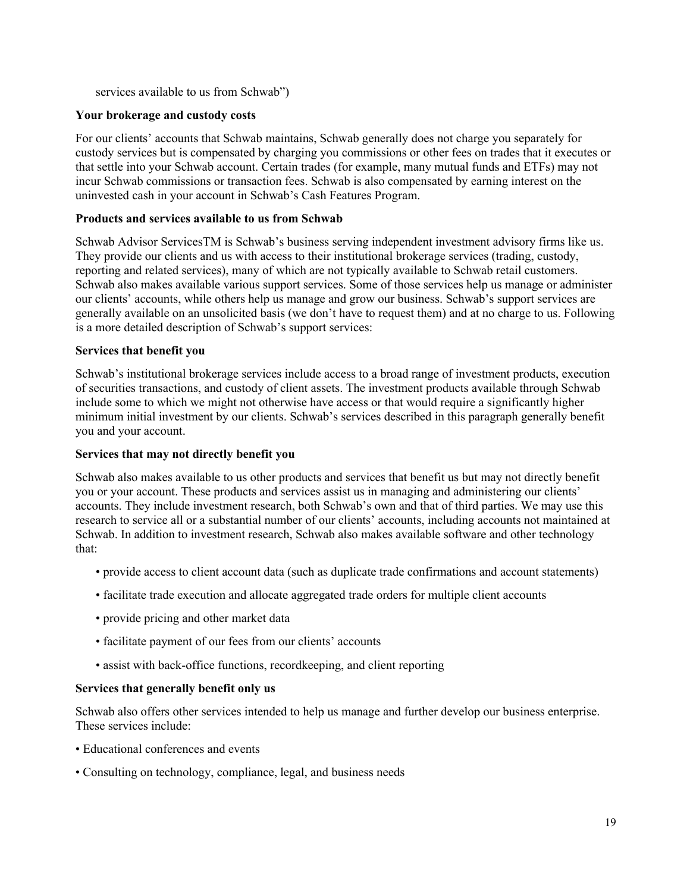services available to us from Schwab")

#### **Your brokerage and custody costs**

For our clients' accounts that Schwab maintains, Schwab generally does not charge you separately for custody services but is compensated by charging you commissions or other fees on trades that it executes or that settle into your Schwab account. Certain trades (for example, many mutual funds and ETFs) may not incur Schwab commissions or transaction fees. Schwab is also compensated by earning interest on the uninvested cash in your account in Schwab's Cash Features Program.

#### **Products and services available to us from Schwab**

Schwab Advisor ServicesTM is Schwab's business serving independent investment advisory firms like us. They provide our clients and us with access to their institutional brokerage services (trading, custody, reporting and related services), many of which are not typically available to Schwab retail customers. Schwab also makes available various support services. Some of those services help us manage or administer our clients' accounts, while others help us manage and grow our business. Schwab's support services are generally available on an unsolicited basis (we don't have to request them) and at no charge to us. Following is a more detailed description of Schwab's support services:

#### **Services that benefit you**

Schwab's institutional brokerage services include access to a broad range of investment products, execution of securities transactions, and custody of client assets. The investment products available through Schwab include some to which we might not otherwise have access or that would require a significantly higher minimum initial investment by our clients. Schwab's services described in this paragraph generally benefit you and your account.

#### **Services that may not directly benefit you**

Schwab also makes available to us other products and services that benefit us but may not directly benefit you or your account. These products and services assist us in managing and administering our clients' accounts. They include investment research, both Schwab's own and that of third parties. We may use this research to service all or a substantial number of our clients' accounts, including accounts not maintained at Schwab. In addition to investment research, Schwab also makes available software and other technology that:

- provide access to client account data (such as duplicate trade confirmations and account statements)
- facilitate trade execution and allocate aggregated trade orders for multiple client accounts
- provide pricing and other market data
- facilitate payment of our fees from our clients' accounts
- assist with back-office functions, recordkeeping, and client reporting

#### **Services that generally benefit only us**

Schwab also offers other services intended to help us manage and further develop our business enterprise. These services include:

- Educational conferences and events
- Consulting on technology, compliance, legal, and business needs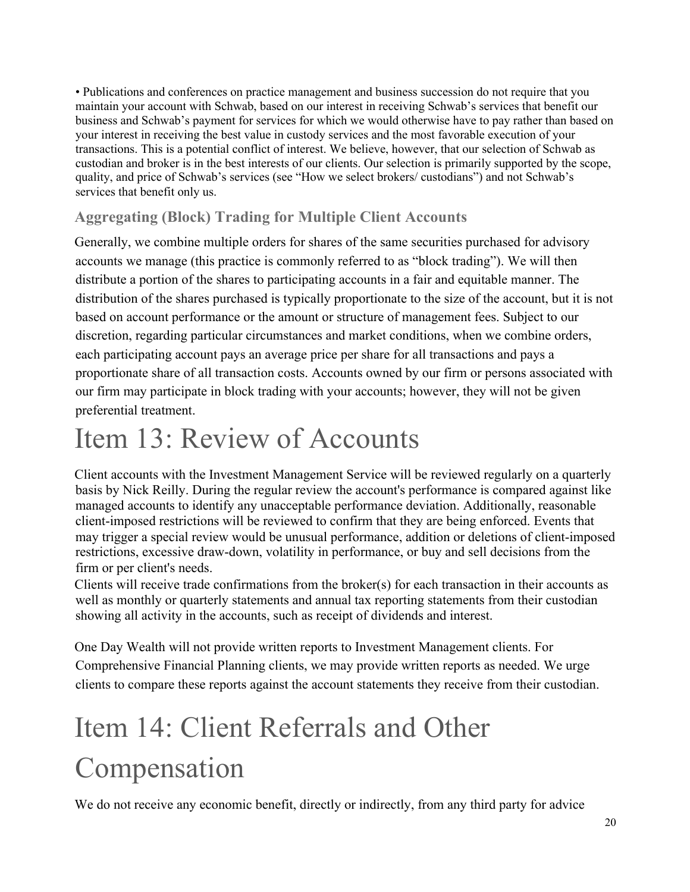• Publications and conferences on practice management and business succession do not require that you maintain your account with Schwab, based on our interest in receiving Schwab's services that benefit our business and Schwab's payment for services for which we would otherwise have to pay rather than based on your interest in receiving the best value in custody services and the most favorable execution of your transactions. This is a potential conflict of interest. We believe, however, that our selection of Schwab as custodian and broker is in the best interests of our clients. Our selection is primarily supported by the scope, quality, and price of Schwab's services (see "How we select brokers/ custodians") and not Schwab's services that benefit only us.

### **Aggregating (Block) Trading for Multiple Client Accounts**

Generally, we combine multiple orders for shares of the same securities purchased for advisory accounts we manage (this practice is commonly referred to as "block trading"). We will then distribute a portion of the shares to participating accounts in a fair and equitable manner. The distribution of the shares purchased is typically proportionate to the size of the account, but it is not based on account performance or the amount or structure of management fees. Subject to our discretion, regarding particular circumstances and market conditions, when we combine orders, each participating account pays an average price per share for all transactions and pays a proportionate share of all transaction costs. Accounts owned by our firm or persons associated with our firm may participate in block trading with your accounts; however, they will not be given preferential treatment.

## Item 13: Review of Accounts

Client accounts with the Investment Management Service will be reviewed regularly on a quarterly basis by Nick Reilly. During the regular review the account's performance is compared against like managed accounts to identify any unacceptable performance deviation. Additionally, reasonable client-imposed restrictions will be reviewed to confirm that they are being enforced. Events that may trigger a special review would be unusual performance, addition or deletions of client-imposed restrictions, excessive draw-down, volatility in performance, or buy and sell decisions from the firm or per client's needs.

Clients will receive trade confirmations from the broker(s) for each transaction in their accounts as well as monthly or quarterly statements and annual tax reporting statements from their custodian showing all activity in the accounts, such as receipt of dividends and interest.

One Day Wealth will not provide written reports to Investment Management clients. For Comprehensive Financial Planning clients, we may provide written reports as needed. We urge clients to compare these reports against the account statements they receive from their custodian.

# Item 14: Client Referrals and Other Compensation

We do not receive any economic benefit, directly or indirectly, from any third party for advice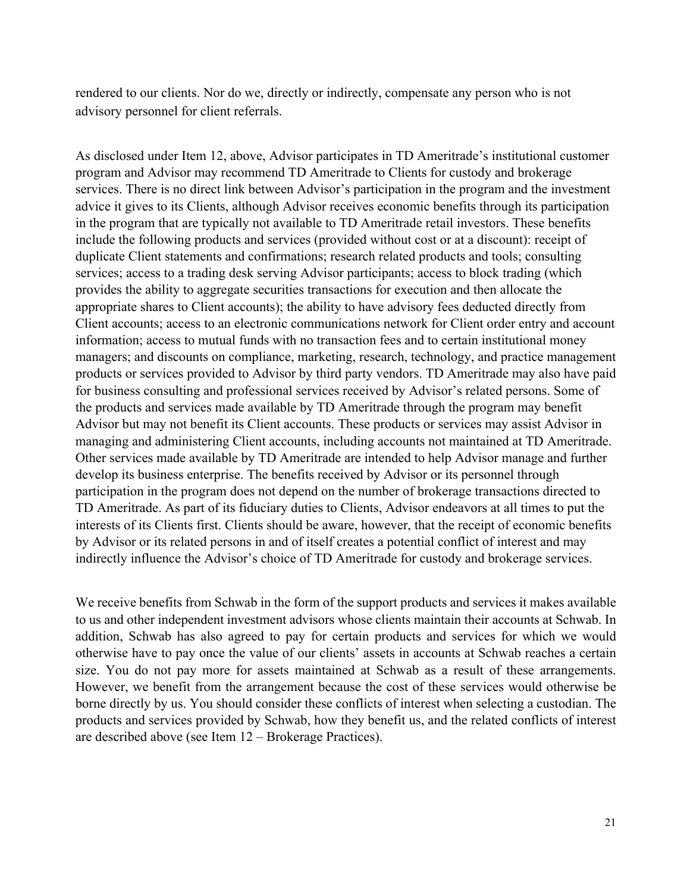rendered to our clients. Nor do we, directly or indirectly, compensate any person who is not advisory personnel for client referrals.

As disclosed under Item 12, above, Advisor participates in TD Ameritrade's institutional customer program and Advisor may recommend TD Ameritrade to Clients for custody and brokerage services. There is no direct link between Advisor's participation in the program and the investment advice it gives to its Clients, although Advisor receives economic benefits through its participation in the program that are typically not available to TD Ameritrade retail investors. These benefits include the following products and services (provided without cost or at a discount): receipt of duplicate Client statements and confirmations; research related products and tools; consulting services; access to a trading desk serving Advisor participants; access to block trading (which provides the ability to aggregate securities transactions for execution and then allocate the appropriate shares to Client accounts); the ability to have advisory fees deducted directly from Client accounts; access to an electronic communications network for Client order entry and account information; access to mutual funds with no transaction fees and to certain institutional money managers; and discounts on compliance, marketing, research, technology, and practice management products or services provided to Advisor by third party vendors. TD Ameritrade may also have paid for business consulting and professional services received by Advisor's related persons. Some of the products and services made available by TD Ameritrade through the program may benefit Advisor but may not benefit its Client accounts. These products or services may assist Advisor in managing and administering Client accounts, including accounts not maintained at TD Ameritrade. Other services made available by TD Ameritrade are intended to help Advisor manage and further develop its business enterprise. The benefits received by Advisor or its personnel through participation in the program does not depend on the number of brokerage transactions directed to TD Ameritrade. As part of its fiduciary duties to Clients, Advisor endeavors at all times to put the interests of its Clients first. Clients should be aware, however, that the receipt of economic benefits by Advisor or its related persons in and of itself creates a potential conflict of interest and may indirectly influence the Advisor's choice of TD Ameritrade for custody and brokerage services.

We receive benefits from Schwab in the form of the support products and services it makes available to us and other independent investment advisors whose clients maintain their accounts at Schwab. In addition, Schwab has also agreed to pay for certain products and services for which we would otherwise have to pay once the value of our clients' assets in accounts at Schwab reaches a certain size. You do not pay more for assets maintained at Schwab as a result of these arrangements. However, we benefit from the arrangement because the cost of these services would otherwise be borne directly by us. You should consider these conflicts of interest when selecting a custodian. The products and services provided by Schwab, how they benefit us, and the related conflicts of interest are described above (see Item 12 – Brokerage Practices).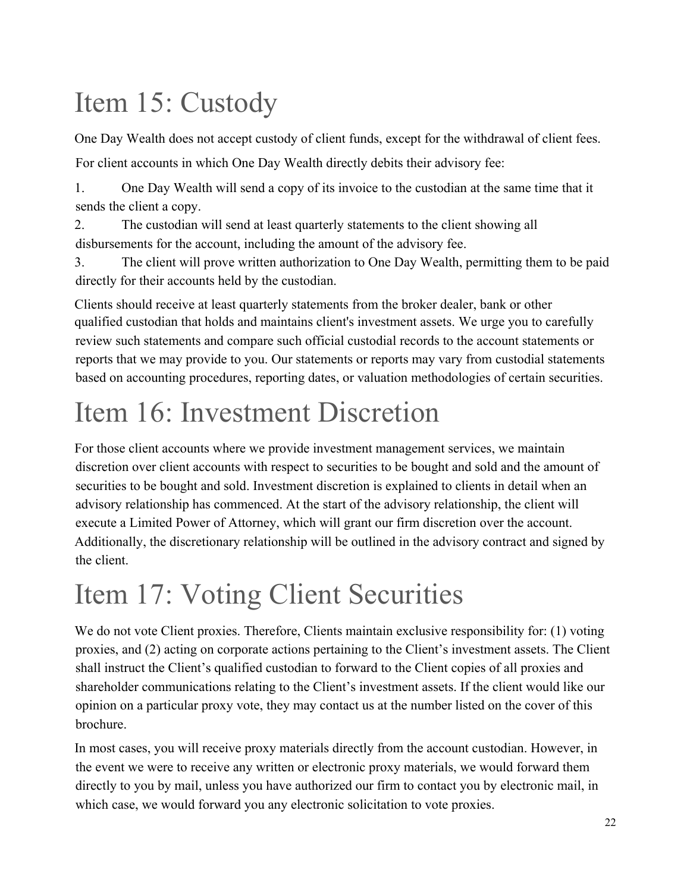# Item 15: Custody

One Day Wealth does not accept custody of client funds, except for the withdrawal of client fees.

For client accounts in which One Day Wealth directly debits their advisory fee:

1. One Day Wealth will send a copy of its invoice to the custodian at the same time that it sends the client a copy.

2. The custodian will send at least quarterly statements to the client showing all disbursements for the account, including the amount of the advisory fee.

3. The client will prove written authorization to One Day Wealth, permitting them to be paid directly for their accounts held by the custodian.

Clients should receive at least quarterly statements from the broker dealer, bank or other qualified custodian that holds and maintains client's investment assets. We urge you to carefully review such statements and compare such official custodial records to the account statements or reports that we may provide to you. Our statements or reports may vary from custodial statements based on accounting procedures, reporting dates, or valuation methodologies of certain securities.

# Item 16: Investment Discretion

For those client accounts where we provide investment management services, we maintain discretion over client accounts with respect to securities to be bought and sold and the amount of securities to be bought and sold. Investment discretion is explained to clients in detail when an advisory relationship has commenced. At the start of the advisory relationship, the client will execute a Limited Power of Attorney, which will grant our firm discretion over the account. Additionally, the discretionary relationship will be outlined in the advisory contract and signed by the client.

# Item 17: Voting Client Securities

We do not vote Client proxies. Therefore, Clients maintain exclusive responsibility for: (1) voting proxies, and (2) acting on corporate actions pertaining to the Client's investment assets. The Client shall instruct the Client's qualified custodian to forward to the Client copies of all proxies and shareholder communications relating to the Client's investment assets. If the client would like our opinion on a particular proxy vote, they may contact us at the number listed on the cover of this brochure.

In most cases, you will receive proxy materials directly from the account custodian. However, in the event we were to receive any written or electronic proxy materials, we would forward them directly to you by mail, unless you have authorized our firm to contact you by electronic mail, in which case, we would forward you any electronic solicitation to vote proxies.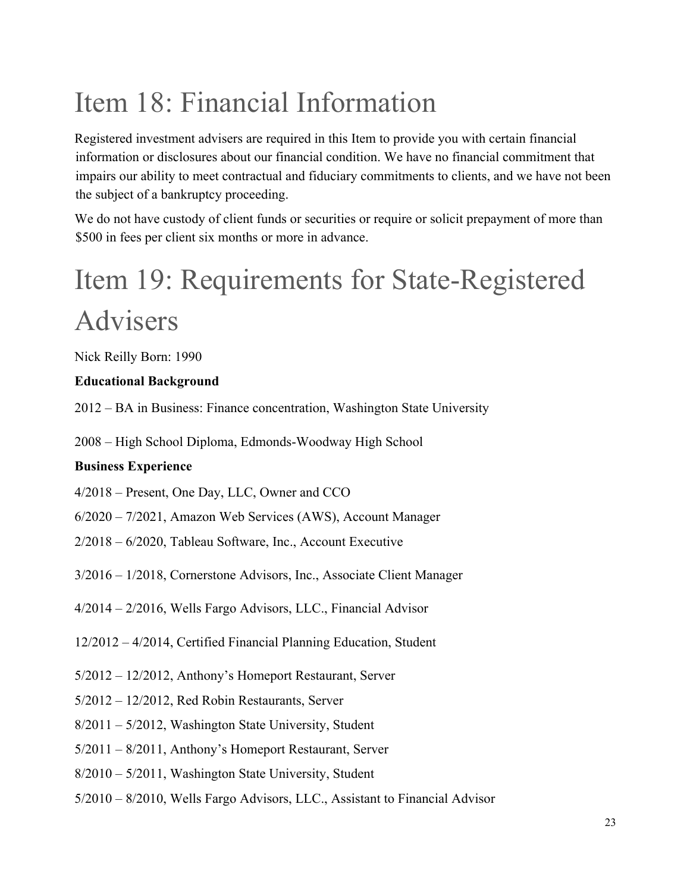# Item 18: Financial Information

Registered investment advisers are required in this Item to provide you with certain financial information or disclosures about our financial condition. We have no financial commitment that impairs our ability to meet contractual and fiduciary commitments to clients, and we have not been the subject of a bankruptcy proceeding.

We do not have custody of client funds or securities or require or solicit prepayment of more than \$500 in fees per client six months or more in advance.

# Item 19: Requirements for State-Registered Advisers

Nick Reilly Born: 1990

### **Educational Background**

2012 – BA in Business: Finance concentration, Washington State University

2008 – High School Diploma, Edmonds-Woodway High School

#### **Business Experience**

4/2018 – Present, One Day, LLC, Owner and CCO

- 6/2020 7/2021, Amazon Web Services (AWS), Account Manager
- 2/2018 6/2020, Tableau Software, Inc., Account Executive
- 3/2016 1/2018, Cornerstone Advisors, Inc., Associate Client Manager
- 4/2014 2/2016, Wells Fargo Advisors, LLC., Financial Advisor
- 12/2012 4/2014, Certified Financial Planning Education, Student
- 5/2012 12/2012, Anthony's Homeport Restaurant, Server
- 5/2012 12/2012, Red Robin Restaurants, Server
- 8/2011 5/2012, Washington State University, Student
- 5/2011 8/2011, Anthony's Homeport Restaurant, Server
- 8/2010 5/2011, Washington State University, Student
- 5/2010 8/2010, Wells Fargo Advisors, LLC., Assistant to Financial Advisor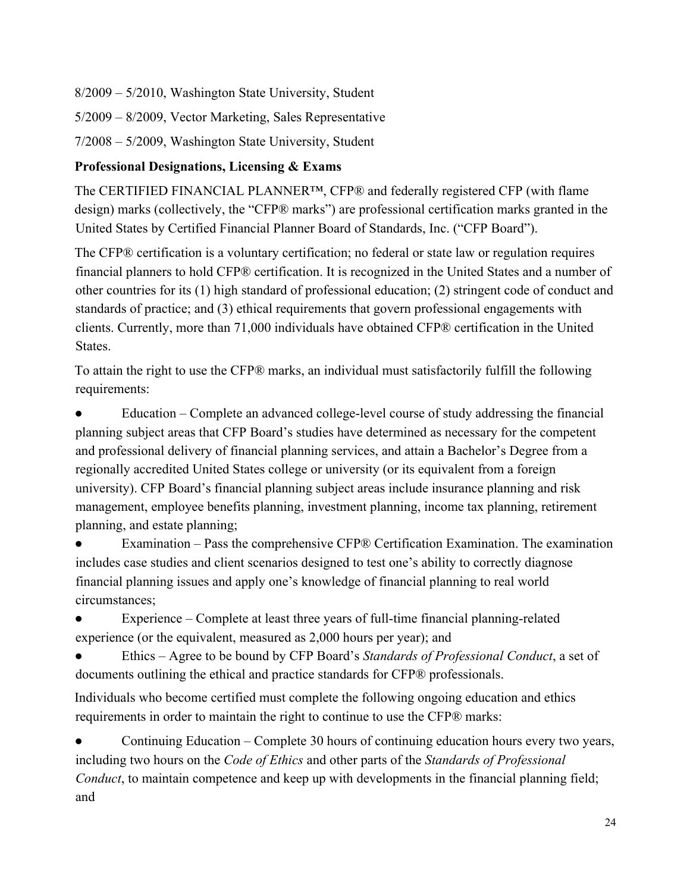8/2009 – 5/2010, Washington State University, Student

5/2009 – 8/2009, Vector Marketing, Sales Representative

7/2008 – 5/2009, Washington State University, Student

#### **Professional Designations, Licensing & Exams**

The CERTIFIED FINANCIAL PLANNER™, CFP® and federally registered CFP (with flame design) marks (collectively, the "CFP® marks") are professional certification marks granted in the United States by Certified Financial Planner Board of Standards, Inc. ("CFP Board").

The CFP® certification is a voluntary certification; no federal or state law or regulation requires financial planners to hold CFP® certification. It is recognized in the United States and a number of other countries for its (1) high standard of professional education; (2) stringent code of conduct and standards of practice; and (3) ethical requirements that govern professional engagements with clients. Currently, more than 71,000 individuals have obtained CFP® certification in the United States.

To attain the right to use the CFP® marks, an individual must satisfactorily fulfill the following requirements:

Education – Complete an advanced college-level course of study addressing the financial planning subject areas that CFP Board's studies have determined as necessary for the competent and professional delivery of financial planning services, and attain a Bachelor's Degree from a regionally accredited United States college or university (or its equivalent from a foreign university). CFP Board's financial planning subject areas include insurance planning and risk management, employee benefits planning, investment planning, income tax planning, retirement planning, and estate planning;

Examination – Pass the comprehensive CFP® Certification Examination. The examination includes case studies and client scenarios designed to test one's ability to correctly diagnose financial planning issues and apply one's knowledge of financial planning to real world circumstances;

Experience – Complete at least three years of full-time financial planning-related experience (or the equivalent, measured as 2,000 hours per year); and

● Ethics – Agree to be bound by CFP Board's *Standards of Professional Conduct*, a set of documents outlining the ethical and practice standards for CFP® professionals.

Individuals who become certified must complete the following ongoing education and ethics requirements in order to maintain the right to continue to use the CFP® marks:

Continuing Education – Complete 30 hours of continuing education hours every two years, including two hours on the *Code of Ethics* and other parts of the *Standards of Professional Conduct*, to maintain competence and keep up with developments in the financial planning field; and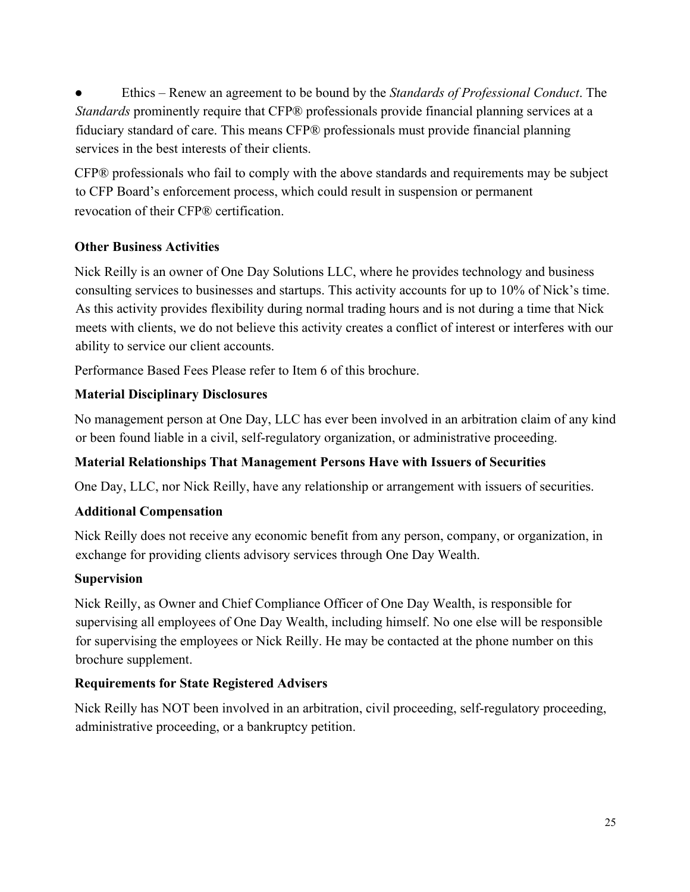● Ethics – Renew an agreement to be bound by the *Standards of Professional Conduct*. The *Standards* prominently require that CFP® professionals provide financial planning services at a fiduciary standard of care. This means CFP® professionals must provide financial planning services in the best interests of their clients.

CFP® professionals who fail to comply with the above standards and requirements may be subject to CFP Board's enforcement process, which could result in suspension or permanent revocation of their CFP® certification.

### **Other Business Activities**

Nick Reilly is an owner of One Day Solutions LLC, where he provides technology and business consulting services to businesses and startups. This activity accounts for up to 10% of Nick's time. As this activity provides flexibility during normal trading hours and is not during a time that Nick meets with clients, we do not believe this activity creates a conflict of interest or interferes with our ability to service our client accounts.

Performance Based Fees Please refer to Item 6 of this brochure.

### **Material Disciplinary Disclosures**

No management person at One Day, LLC has ever been involved in an arbitration claim of any kind or been found liable in a civil, self-regulatory organization, or administrative proceeding.

### **Material Relationships That Management Persons Have with Issuers of Securities**

One Day, LLC, nor Nick Reilly, have any relationship or arrangement with issuers of securities.

### **Additional Compensation**

Nick Reilly does not receive any economic benefit from any person, company, or organization, in exchange for providing clients advisory services through One Day Wealth.

#### **Supervision**

Nick Reilly, as Owner and Chief Compliance Officer of One Day Wealth, is responsible for supervising all employees of One Day Wealth, including himself. No one else will be responsible for supervising the employees or Nick Reilly. He may be contacted at the phone number on this brochure supplement.

### **Requirements for State Registered Advisers**

Nick Reilly has NOT been involved in an arbitration, civil proceeding, self-regulatory proceeding, administrative proceeding, or a bankruptcy petition.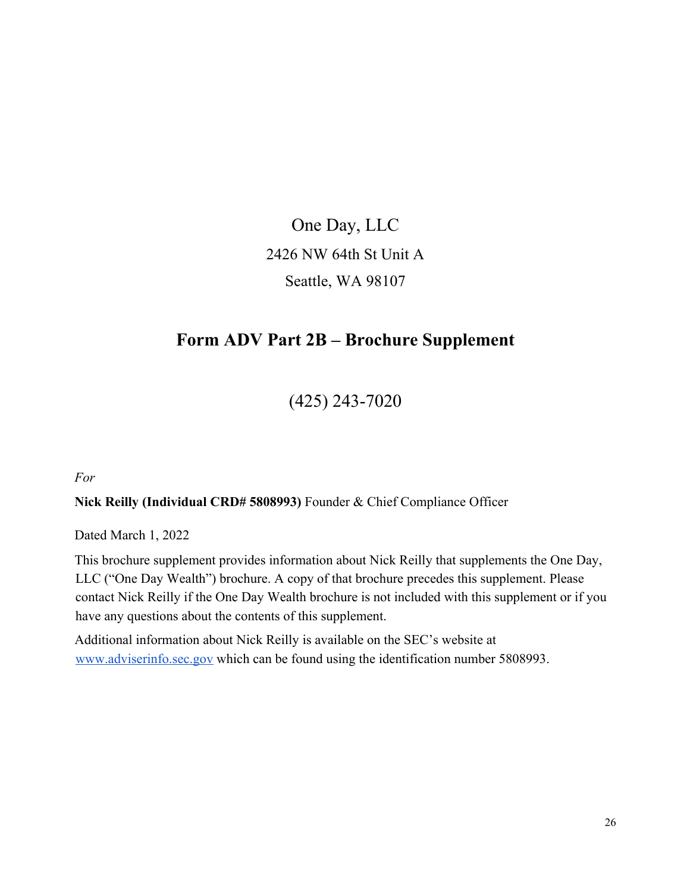One Day, LLC 2426 NW 64th St Unit A Seattle, WA 98107

## **Form ADV Part 2B – Brochure Supplement**

(425) 243-7020

*For*

#### **Nick Reilly (Individual CRD# 5808993)** Founder & Chief Compliance Officer

Dated March 1, 2022

This brochure supplement provides information about Nick Reilly that supplements the One Day, LLC ("One Day Wealth") brochure. A copy of that brochure precedes this supplement. Please contact Nick Reilly if the One Day Wealth brochure is not included with this supplement or if you have any questions about the contents of this supplement.

Additional information about Nick Reilly is available on the SEC's website at www.adviserinfo.sec.gov which can be found using the identification number 5808993.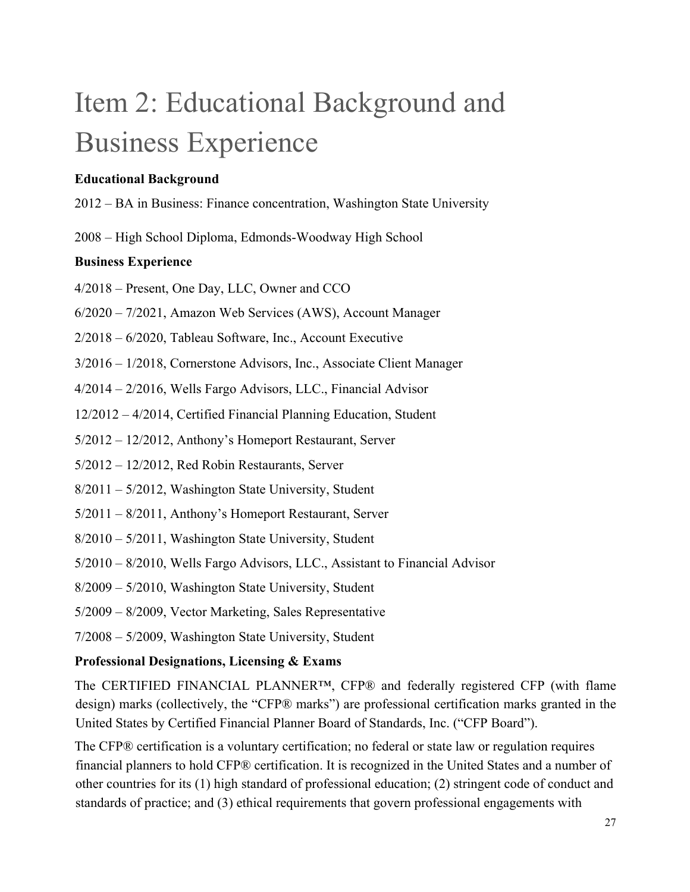# Item 2: Educational Background and Business Experience

#### **Educational Background**

- 2012 BA in Business: Finance concentration, Washington State University
- 2008 High School Diploma, Edmonds-Woodway High School

#### **Business Experience**

- 4/2018 Present, One Day, LLC, Owner and CCO
- 6/2020 7/2021, Amazon Web Services (AWS), Account Manager
- 2/2018 6/2020, Tableau Software, Inc., Account Executive
- 3/2016 1/2018, Cornerstone Advisors, Inc., Associate Client Manager
- 4/2014 2/2016, Wells Fargo Advisors, LLC., Financial Advisor
- 12/2012 4/2014, Certified Financial Planning Education, Student
- 5/2012 12/2012, Anthony's Homeport Restaurant, Server
- 5/2012 12/2012, Red Robin Restaurants, Server
- 8/2011 5/2012, Washington State University, Student
- 5/2011 8/2011, Anthony's Homeport Restaurant, Server
- 8/2010 5/2011, Washington State University, Student
- 5/2010 8/2010, Wells Fargo Advisors, LLC., Assistant to Financial Advisor
- 8/2009 5/2010, Washington State University, Student
- 5/2009 8/2009, Vector Marketing, Sales Representative
- 7/2008 5/2009, Washington State University, Student

#### **Professional Designations, Licensing & Exams**

The CERTIFIED FINANCIAL PLANNER<sup>TM</sup>, CFP® and federally registered CFP (with flame design) marks (collectively, the "CFP® marks") are professional certification marks granted in the United States by Certified Financial Planner Board of Standards, Inc. ("CFP Board").

The CFP® certification is a voluntary certification; no federal or state law or regulation requires financial planners to hold CFP® certification. It is recognized in the United States and a number of other countries for its (1) high standard of professional education; (2) stringent code of conduct and standards of practice; and (3) ethical requirements that govern professional engagements with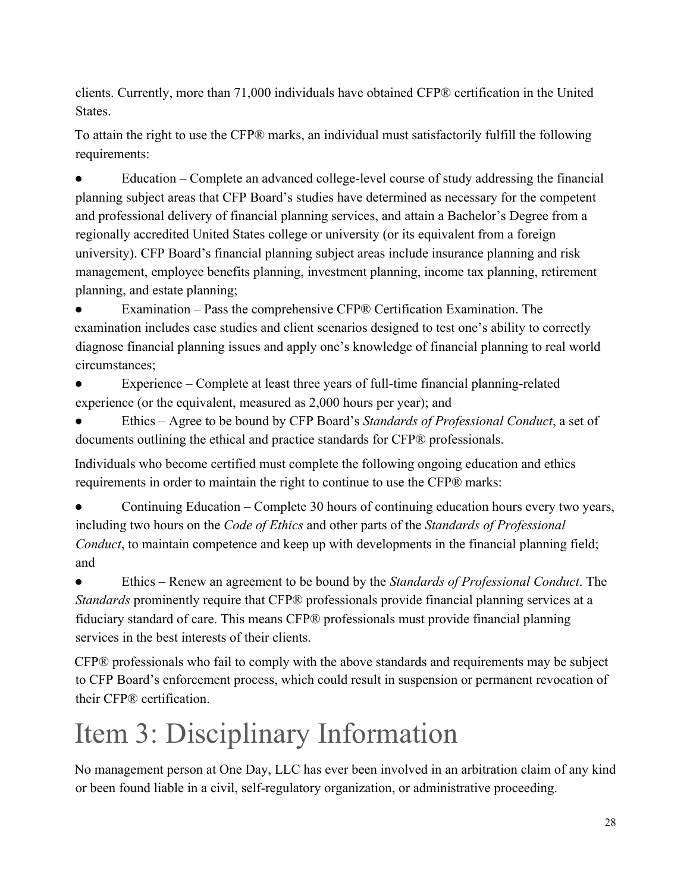clients. Currently, more than 71,000 individuals have obtained CFP® certification in the United States.

To attain the right to use the CFP® marks, an individual must satisfactorily fulfill the following requirements:

● Education – Complete an advanced college-level course of study addressing the financial planning subject areas that CFP Board's studies have determined as necessary for the competent and professional delivery of financial planning services, and attain a Bachelor's Degree from a regionally accredited United States college or university (or its equivalent from a foreign university). CFP Board's financial planning subject areas include insurance planning and risk management, employee benefits planning, investment planning, income tax planning, retirement planning, and estate planning;

Examination – Pass the comprehensive CFP® Certification Examination. The examination includes case studies and client scenarios designed to test one's ability to correctly diagnose financial planning issues and apply one's knowledge of financial planning to real world circumstances;

Experience – Complete at least three years of full-time financial planning-related experience (or the equivalent, measured as 2,000 hours per year); and

● Ethics – Agree to be bound by CFP Board's *Standards of Professional Conduct*, a set of documents outlining the ethical and practice standards for CFP® professionals.

Individuals who become certified must complete the following ongoing education and ethics requirements in order to maintain the right to continue to use the CFP® marks:

Continuing Education – Complete 30 hours of continuing education hours every two years, including two hours on the *Code of Ethics* and other parts of the *Standards of Professional Conduct*, to maintain competence and keep up with developments in the financial planning field; and

● Ethics – Renew an agreement to be bound by the *Standards of Professional Conduct*. The *Standards* prominently require that CFP® professionals provide financial planning services at a fiduciary standard of care. This means CFP® professionals must provide financial planning services in the best interests of their clients.

CFP® professionals who fail to comply with the above standards and requirements may be subject to CFP Board's enforcement process, which could result in suspension or permanent revocation of their CFP® certification.

# Item 3: Disciplinary Information

No management person at One Day, LLC has ever been involved in an arbitration claim of any kind or been found liable in a civil, self-regulatory organization, or administrative proceeding.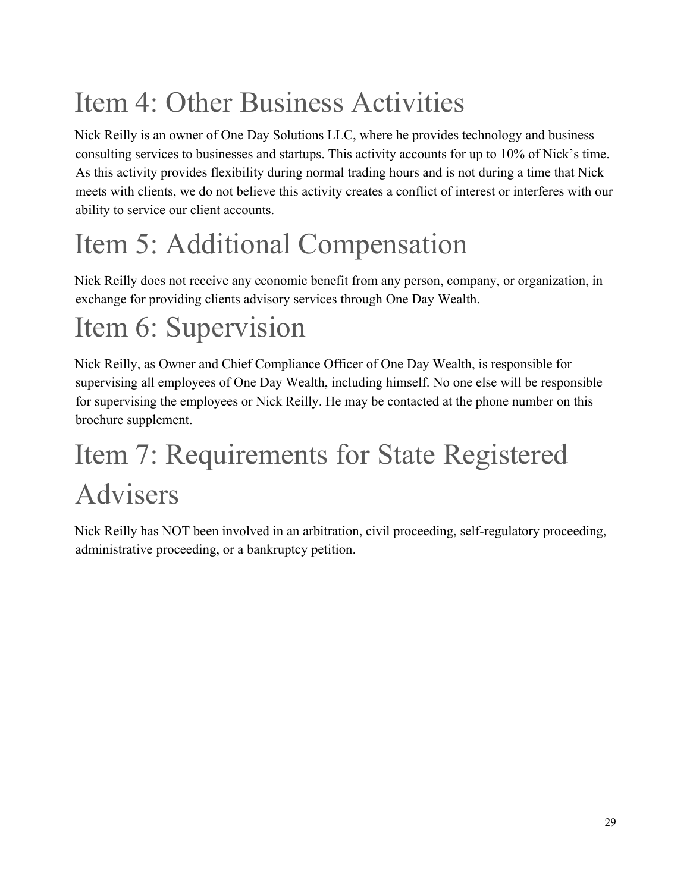# Item 4: Other Business Activities

Nick Reilly is an owner of One Day Solutions LLC, where he provides technology and business consulting services to businesses and startups. This activity accounts for up to 10% of Nick's time. As this activity provides flexibility during normal trading hours and is not during a time that Nick meets with clients, we do not believe this activity creates a conflict of interest or interferes with our ability to service our client accounts.

# Item 5: Additional Compensation

Nick Reilly does not receive any economic benefit from any person, company, or organization, in exchange for providing clients advisory services through One Day Wealth.

# Item 6: Supervision

Nick Reilly, as Owner and Chief Compliance Officer of One Day Wealth, is responsible for supervising all employees of One Day Wealth, including himself. No one else will be responsible for supervising the employees or Nick Reilly. He may be contacted at the phone number on this brochure supplement.

# Item 7: Requirements for State Registered Advisers

Nick Reilly has NOT been involved in an arbitration, civil proceeding, self-regulatory proceeding, administrative proceeding, or a bankruptcy petition.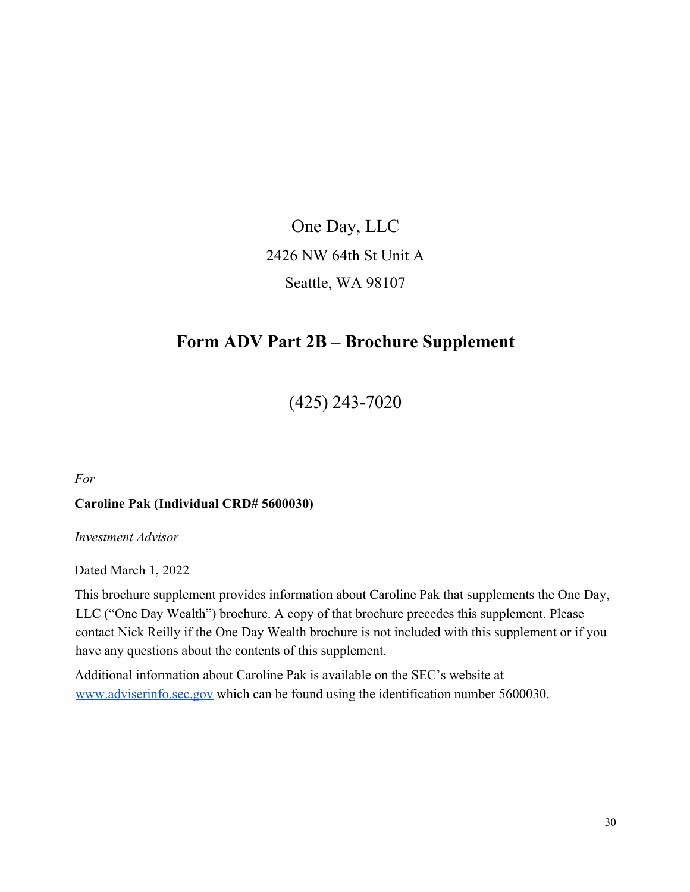One Day, LLC 2426 NW 64th St Unit A Seattle, WA 98107

## **Form ADV Part 2B – Brochure Supplement**

(425) 243-7020

*For*

#### **Caroline Pak (Individual CRD# 5600030)**

*Investment Advisor*

Dated March 1, 2022

This brochure supplement provides information about Caroline Pak that supplements the One Day, LLC ("One Day Wealth") brochure. A copy of that brochure precedes this supplement. Please contact Nick Reilly if the One Day Wealth brochure is not included with this supplement or if you have any questions about the contents of this supplement.

Additional information about Caroline Pak is available on the SEC's website at www.adviserinfo.sec.gov which can be found using the identification number 5600030.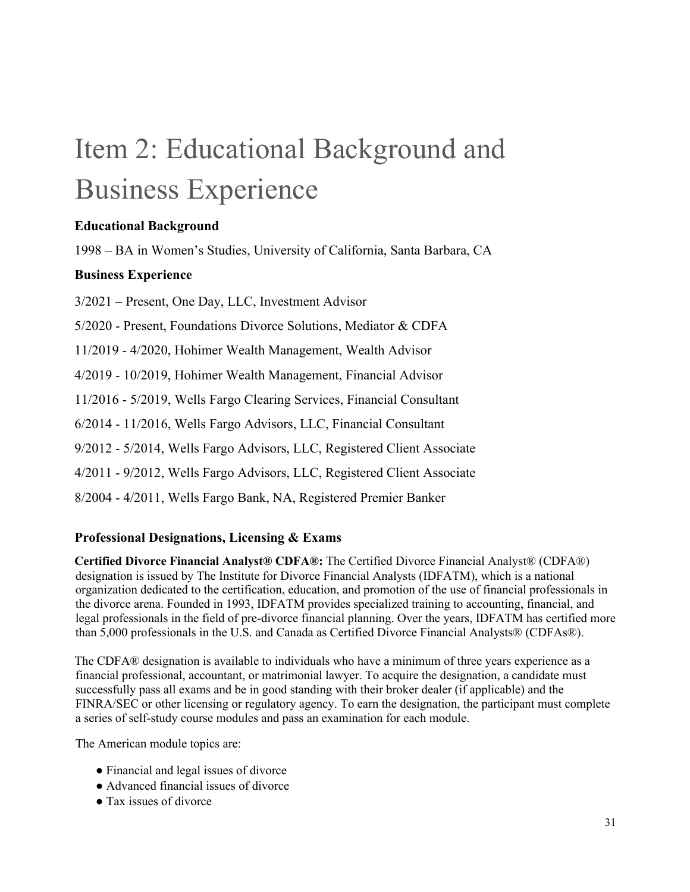# Item 2: Educational Background and Business Experience

#### **Educational Background**

1998 – BA in Women's Studies, University of California, Santa Barbara, CA

#### **Business Experience**

3/2021 – Present, One Day, LLC, Investment Advisor

5/2020 - Present, Foundations Divorce Solutions, Mediator & CDFA

11/2019 - 4/2020, Hohimer Wealth Management, Wealth Advisor

4/2019 - 10/2019, Hohimer Wealth Management, Financial Advisor

11/2016 - 5/2019, Wells Fargo Clearing Services, Financial Consultant

6/2014 - 11/2016, Wells Fargo Advisors, LLC, Financial Consultant

9/2012 - 5/2014, Wells Fargo Advisors, LLC, Registered Client Associate

4/2011 - 9/2012, Wells Fargo Advisors, LLC, Registered Client Associate

8/2004 - 4/2011, Wells Fargo Bank, NA, Registered Premier Banker

#### **Professional Designations, Licensing & Exams**

**Certified Divorce Financial Analyst® CDFA®:** The Certified Divorce Financial Analyst® (CDFA®) designation is issued by The Institute for Divorce Financial Analysts (IDFATM), which is a national organization dedicated to the certification, education, and promotion of the use of financial professionals in the divorce arena. Founded in 1993, IDFATM provides specialized training to accounting, financial, and legal professionals in the field of pre‐divorce financial planning. Over the years, IDFATM has certified more than 5,000 professionals in the U.S. and Canada as Certified Divorce Financial Analysts® (CDFAs®).

The CDFA® designation is available to individuals who have a minimum of three years experience as a financial professional, accountant, or matrimonial lawyer. To acquire the designation, a candidate must successfully pass all exams and be in good standing with their broker dealer (if applicable) and the FINRA/SEC or other licensing or regulatory agency. To earn the designation, the participant must complete a series of self‐study course modules and pass an examination for each module.

The American module topics are:

- Financial and legal issues of divorce
- Advanced financial issues of divorce
- Tax issues of divorce